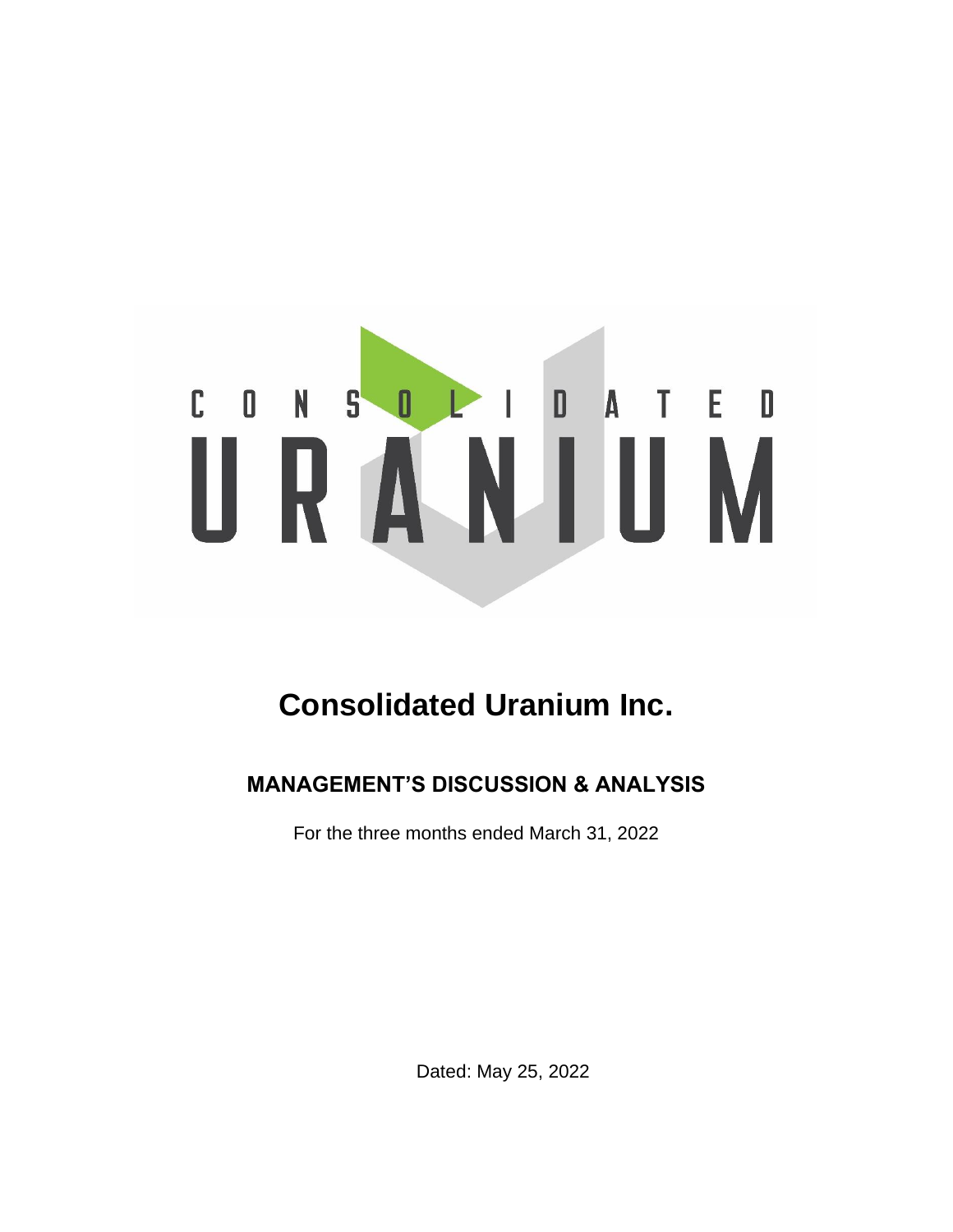# CONSOLIDATED

# **Consolidated Uranium Inc.**

## **MANAGEMENT'S DISCUSSION & ANALYSIS**

For the three months ended March 31, 2022

Dated: May 25, 2022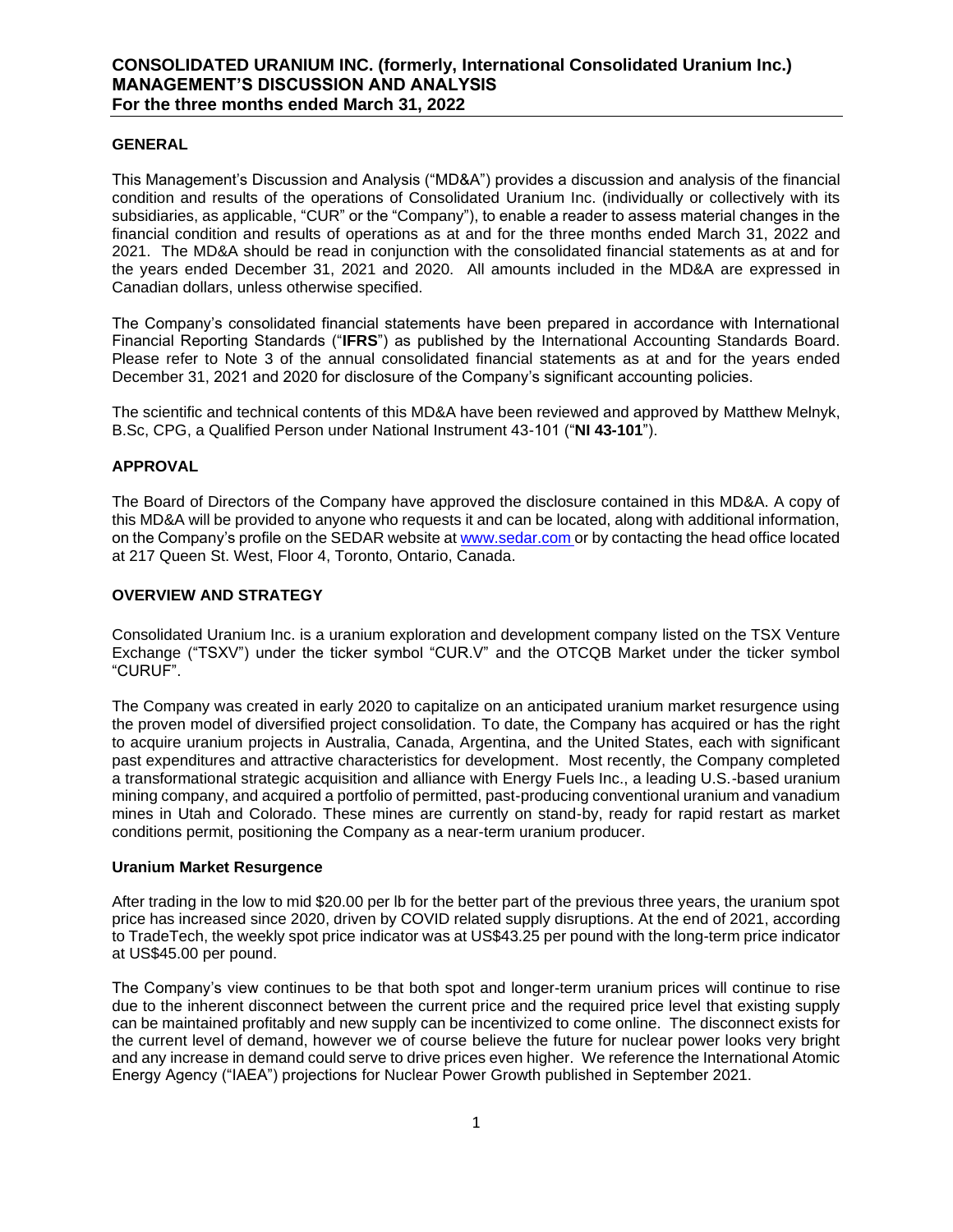### **GENERAL**

This Management's Discussion and Analysis ("MD&A") provides a discussion and analysis of the financial condition and results of the operations of Consolidated Uranium Inc. (individually or collectively with its subsidiaries, as applicable, "CUR" or the "Company"), to enable a reader to assess material changes in the financial condition and results of operations as at and for the three months ended March 31, 2022 and 2021. The MD&A should be read in conjunction with the consolidated financial statements as at and for the years ended December 31, 2021 and 2020. All amounts included in the MD&A are expressed in Canadian dollars, unless otherwise specified.

The Company's consolidated financial statements have been prepared in accordance with International Financial Reporting Standards ("**IFRS**") as published by the International Accounting Standards Board. Please refer to Note 3 of the annual consolidated financial statements as at and for the years ended December 31, 2021 and 2020 for disclosure of the Company's significant accounting policies.

The scientific and technical contents of this MD&A have been reviewed and approved by Matthew Melnyk, B.Sc, CPG, a Qualified Person under National Instrument 43-101 ("**NI 43-101**").

### **APPROVAL**

The Board of Directors of the Company have approved the disclosure contained in this MD&A. A copy of this MD&A will be provided to anyone who requests it and can be located, along with additional information, on the Company's profile on the SEDAR website at [www.sedar.com](http://www.sedar.com/) or by contacting the head office located at 217 Queen St. West, Floor 4, Toronto, Ontario, Canada.

### **OVERVIEW AND STRATEGY**

Consolidated Uranium Inc. is a uranium exploration and development company listed on the TSX Venture Exchange ("TSXV") under the ticker symbol "CUR.V" and the OTCQB Market under the ticker symbol "CURUF".

The Company was created in early 2020 to capitalize on an anticipated uranium market resurgence using the proven model of diversified project consolidation. To date, the Company has acquired or has the right to acquire uranium projects in Australia, Canada, Argentina, and the United States, each with significant past expenditures and attractive characteristics for development. Most recently, the Company completed a transformational strategic acquisition and alliance with Energy Fuels Inc., a leading U.S.-based uranium mining company, and acquired a portfolio of permitted, past-producing conventional uranium and vanadium mines in Utah and Colorado. These mines are currently on stand-by, ready for rapid restart as market conditions permit, positioning the Company as a near-term uranium producer.

### **Uranium Market Resurgence**

After trading in the low to mid \$20.00 per lb for the better part of the previous three years, the uranium spot price has increased since 2020, driven by COVID related supply disruptions. At the end of 2021, according to TradeTech, the weekly spot price indicator was at US\$43.25 per pound with the long-term price indicator at US\$45.00 per pound.

The Company's view continues to be that both spot and longer-term uranium prices will continue to rise due to the inherent disconnect between the current price and the required price level that existing supply can be maintained profitably and new supply can be incentivized to come online. The disconnect exists for the current level of demand, however we of course believe the future for nuclear power looks very bright and any increase in demand could serve to drive prices even higher. We reference the International Atomic Energy Agency ("IAEA") projections for Nuclear Power Growth published in September 2021.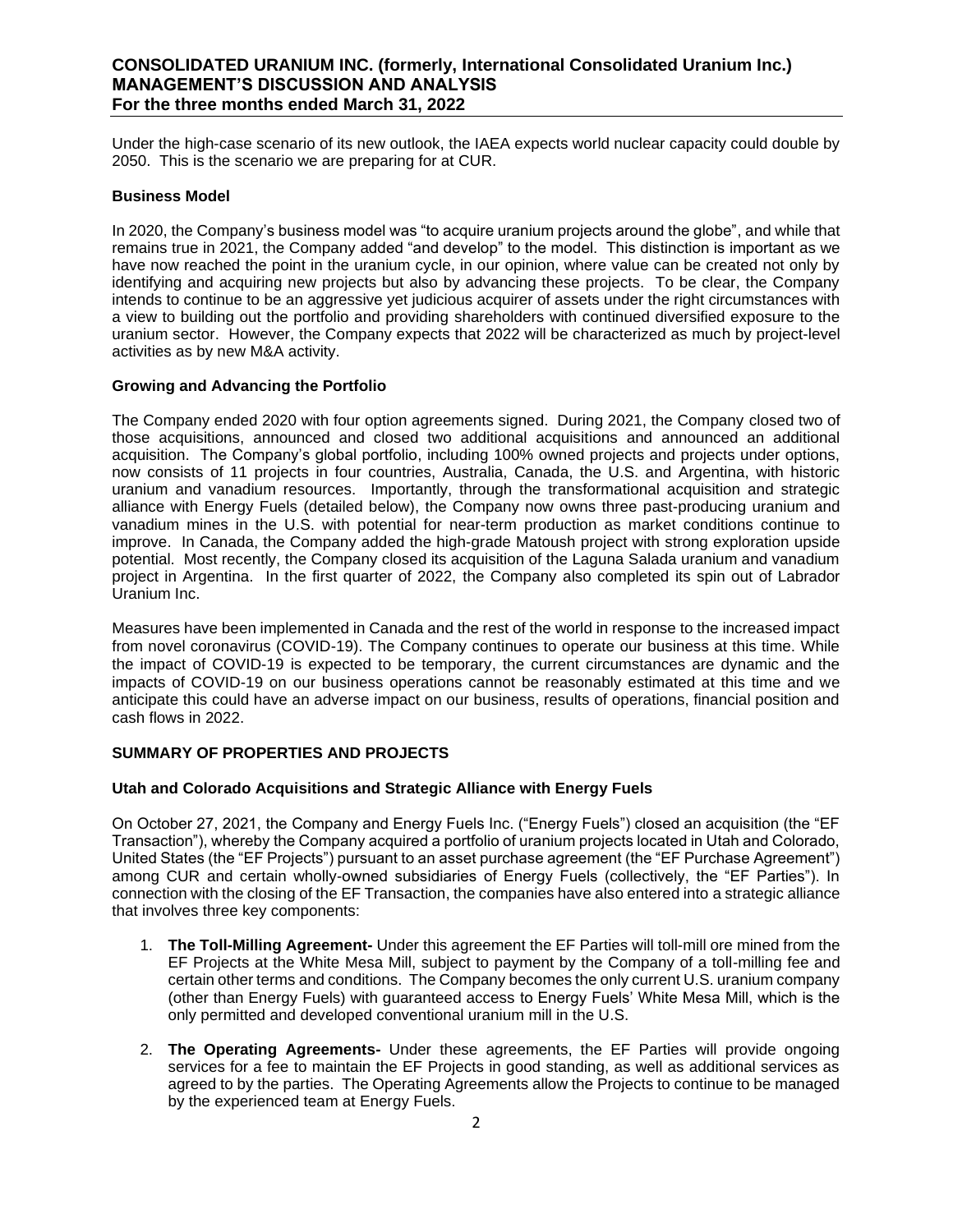Under the high-case scenario of its new outlook, the IAEA expects world nuclear capacity could double by 2050. This is the scenario we are preparing for at CUR.

### **Business Model**

In 2020, the Company's business model was "to acquire uranium projects around the globe", and while that remains true in 2021, the Company added "and develop" to the model. This distinction is important as we have now reached the point in the uranium cycle, in our opinion, where value can be created not only by identifying and acquiring new projects but also by advancing these projects. To be clear, the Company intends to continue to be an aggressive yet judicious acquirer of assets under the right circumstances with a view to building out the portfolio and providing shareholders with continued diversified exposure to the uranium sector. However, the Company expects that 2022 will be characterized as much by project-level activities as by new M&A activity.

### **Growing and Advancing the Portfolio**

The Company ended 2020 with four option agreements signed. During 2021, the Company closed two of those acquisitions, announced and closed two additional acquisitions and announced an additional acquisition. The Company's global portfolio, including 100% owned projects and projects under options, now consists of 11 projects in four countries, Australia, Canada, the U.S. and Argentina, with historic uranium and vanadium resources. Importantly, through the transformational acquisition and strategic alliance with Energy Fuels (detailed below), the Company now owns three past-producing uranium and vanadium mines in the U.S. with potential for near-term production as market conditions continue to improve. In Canada, the Company added the high-grade Matoush project with strong exploration upside potential. Most recently, the Company closed its acquisition of the Laguna Salada uranium and vanadium project in Argentina. In the first quarter of 2022, the Company also completed its spin out of Labrador Uranium Inc.

Measures have been implemented in Canada and the rest of the world in response to the increased impact from novel coronavirus (COVID-19). The Company continues to operate our business at this time. While the impact of COVID-19 is expected to be temporary, the current circumstances are dynamic and the impacts of COVID-19 on our business operations cannot be reasonably estimated at this time and we anticipate this could have an adverse impact on our business, results of operations, financial position and cash flows in 2022.

### **SUMMARY OF PROPERTIES AND PROJECTS**

### **Utah and Colorado Acquisitions and Strategic Alliance with Energy Fuels**

On October 27, 2021, the Company and Energy Fuels Inc. ("Energy Fuels") closed an acquisition (the "EF Transaction"), whereby the Company acquired a portfolio of uranium projects located in Utah and Colorado, United States (the "EF Projects") pursuant to an asset purchase agreement (the "EF Purchase Agreement") among CUR and certain wholly-owned subsidiaries of Energy Fuels (collectively, the "EF Parties"). In connection with the closing of the EF Transaction, the companies have also entered into a strategic alliance that involves three key components:

- 1. **The Toll-Milling Agreement-** Under this agreement the EF Parties will toll-mill ore mined from the EF Projects at the White Mesa Mill, subject to payment by the Company of a toll-milling fee and certain other terms and conditions. The Company becomes the only current U.S. uranium company (other than Energy Fuels) with guaranteed access to Energy Fuels' White Mesa Mill, which is the only permitted and developed conventional uranium mill in the U.S.
- 2. **The Operating Agreements-** Under these agreements, the EF Parties will provide ongoing services for a fee to maintain the EF Projects in good standing, as well as additional services as agreed to by the parties. The Operating Agreements allow the Projects to continue to be managed by the experienced team at Energy Fuels.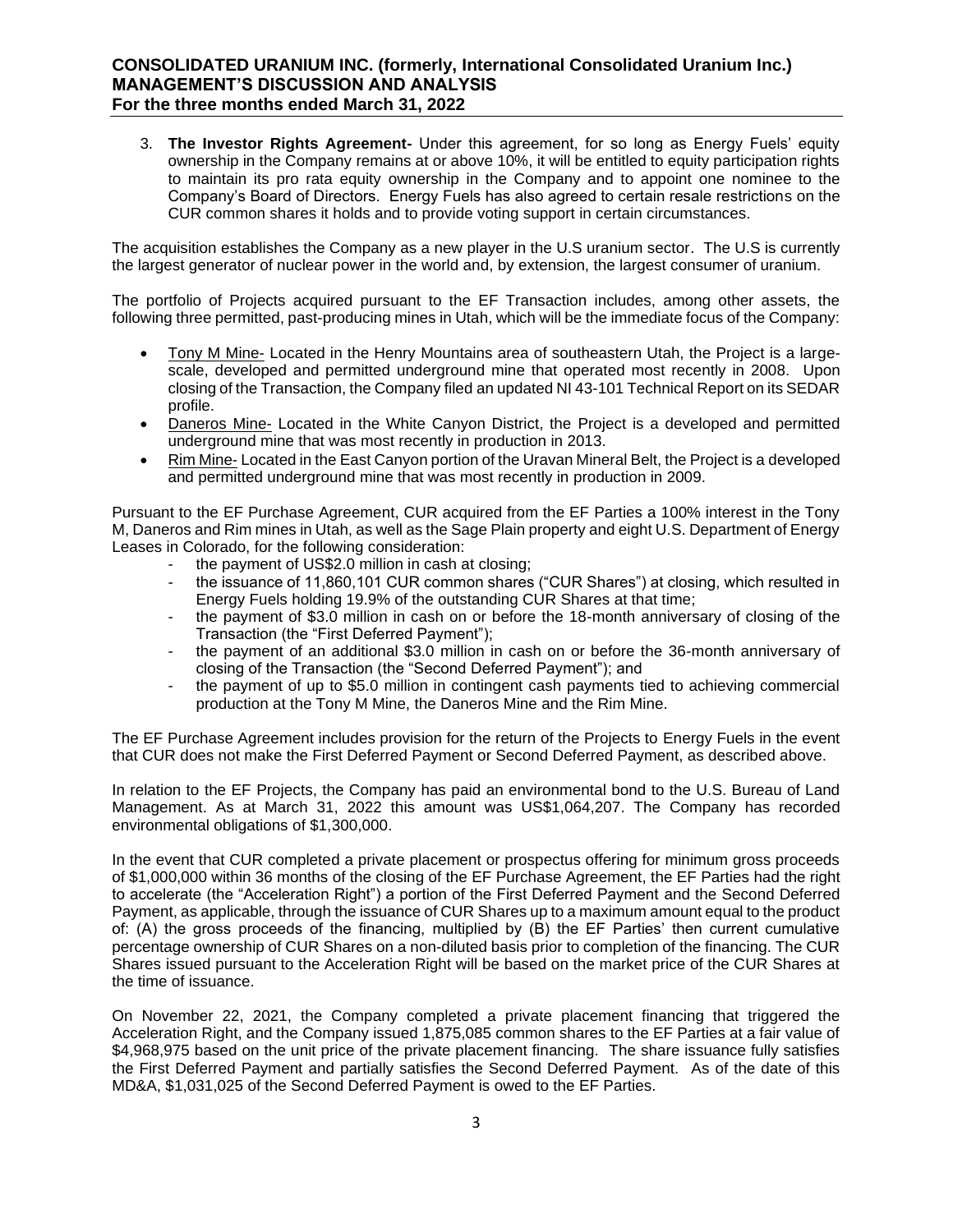3. **The Investor Rights Agreement-** Under this agreement, for so long as Energy Fuels' equity ownership in the Company remains at or above 10%, it will be entitled to equity participation rights to maintain its pro rata equity ownership in the Company and to appoint one nominee to the Company's Board of Directors. Energy Fuels has also agreed to certain resale restrictions on the CUR common shares it holds and to provide voting support in certain circumstances.

The acquisition establishes the Company as a new player in the U.S uranium sector. The U.S is currently the largest generator of nuclear power in the world and, by extension, the largest consumer of uranium.

The portfolio of Projects acquired pursuant to the EF Transaction includes, among other assets, the following three permitted, past-producing mines in Utah, which will be the immediate focus of the Company:

- Tony M Mine- Located in the Henry Mountains area of southeastern Utah, the Project is a largescale, developed and permitted underground mine that operated most recently in 2008. Upon closing of the Transaction, the Company filed an updated NI 43-101 Technical Report on its SEDAR profile.
- Daneros Mine- Located in the White Canyon District, the Project is a developed and permitted underground mine that was most recently in production in 2013.
- Rim Mine- Located in the East Canyon portion of the Uravan Mineral Belt, the Project is a developed and permitted underground mine that was most recently in production in 2009.

Pursuant to the EF Purchase Agreement, CUR acquired from the EF Parties a 100% interest in the Tony M, Daneros and Rim mines in Utah, as well as the Sage Plain property and eight U.S. Department of Energy Leases in Colorado, for the following consideration:

- the payment of US\$2.0 million in cash at closing;
- the issuance of 11,860,101 CUR common shares ("CUR Shares") at closing, which resulted in Energy Fuels holding 19.9% of the outstanding CUR Shares at that time;
- the payment of \$3.0 million in cash on or before the 18-month anniversary of closing of the Transaction (the "First Deferred Payment");
- the payment of an additional \$3.0 million in cash on or before the 36-month anniversary of closing of the Transaction (the "Second Deferred Payment"); and
- the payment of up to \$5.0 million in contingent cash payments tied to achieving commercial production at the Tony M Mine, the Daneros Mine and the Rim Mine.

The EF Purchase Agreement includes provision for the return of the Projects to Energy Fuels in the event that CUR does not make the First Deferred Payment or Second Deferred Payment, as described above.

In relation to the EF Projects, the Company has paid an environmental bond to the U.S. Bureau of Land Management. As at March 31, 2022 this amount was US\$1,064,207. The Company has recorded environmental obligations of \$1,300,000.

In the event that CUR completed a private placement or prospectus offering for minimum gross proceeds of \$1,000,000 within 36 months of the closing of the EF Purchase Agreement, the EF Parties had the right to accelerate (the "Acceleration Right") a portion of the First Deferred Payment and the Second Deferred Payment, as applicable, through the issuance of CUR Shares up to a maximum amount equal to the product of: (A) the gross proceeds of the financing, multiplied by (B) the EF Parties' then current cumulative percentage ownership of CUR Shares on a non-diluted basis prior to completion of the financing. The CUR Shares issued pursuant to the Acceleration Right will be based on the market price of the CUR Shares at the time of issuance.

On November 22, 2021, the Company completed a private placement financing that triggered the Acceleration Right, and the Company issued 1,875,085 common shares to the EF Parties at a fair value of \$4,968,975 based on the unit price of the private placement financing. The share issuance fully satisfies the First Deferred Payment and partially satisfies the Second Deferred Payment. As of the date of this MD&A, \$1,031,025 of the Second Deferred Payment is owed to the EF Parties.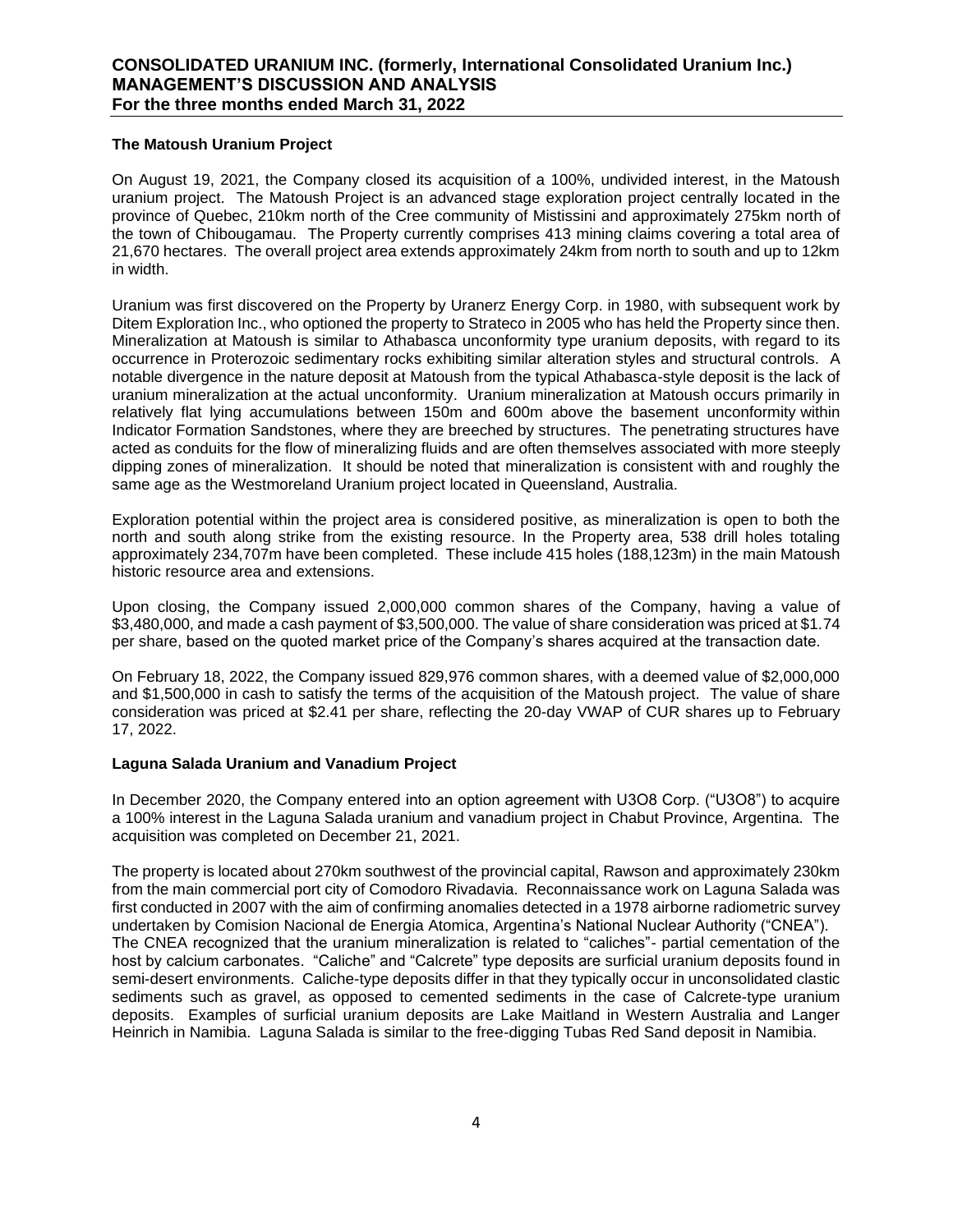### **The Matoush Uranium Project**

On August 19, 2021, the Company closed its acquisition of a 100%, undivided interest, in the Matoush uranium project. The Matoush Project is an advanced stage exploration project centrally located in the province of Quebec, 210km north of the Cree community of Mistissini and approximately 275km north of the town of Chibougamau. The Property currently comprises 413 mining claims covering a total area of 21,670 hectares. The overall project area extends approximately 24km from north to south and up to 12km in width.

Uranium was first discovered on the Property by Uranerz Energy Corp. in 1980, with subsequent work by Ditem Exploration Inc., who optioned the property to Strateco in 2005 who has held the Property since then. Mineralization at Matoush is similar to Athabasca unconformity type uranium deposits, with regard to its occurrence in Proterozoic sedimentary rocks exhibiting similar alteration styles and structural controls. A notable divergence in the nature deposit at Matoush from the typical Athabasca-style deposit is the lack of uranium mineralization at the actual unconformity. Uranium mineralization at Matoush occurs primarily in relatively flat lying accumulations between 150m and 600m above the basement unconformity within Indicator Formation Sandstones, where they are breeched by structures. The penetrating structures have acted as conduits for the flow of mineralizing fluids and are often themselves associated with more steeply dipping zones of mineralization. It should be noted that mineralization is consistent with and roughly the same age as the Westmoreland Uranium project located in Queensland, Australia.

Exploration potential within the project area is considered positive, as mineralization is open to both the north and south along strike from the existing resource. In the Property area, 538 drill holes totaling approximately 234,707m have been completed. These include 415 holes (188,123m) in the main Matoush historic resource area and extensions.

Upon closing, the Company issued 2,000,000 common shares of the Company, having a value of \$3,480,000, and made a cash payment of \$3,500,000. The value of share consideration was priced at \$1.74 per share, based on the quoted market price of the Company's shares acquired at the transaction date.

On February 18, 2022, the Company issued 829,976 common shares, with a deemed value of \$2,000,000 and \$1,500,000 in cash to satisfy the terms of the acquisition of the Matoush project. The value of share consideration was priced at \$2.41 per share, reflecting the 20-day VWAP of CUR shares up to February 17, 2022.

### **Laguna Salada Uranium and Vanadium Project**

In December 2020, the Company entered into an option agreement with U3O8 Corp. ("U3O8") to acquire a 100% interest in the Laguna Salada uranium and vanadium project in Chabut Province, Argentina. The acquisition was completed on December 21, 2021.

The property is located about 270km southwest of the provincial capital, Rawson and approximately 230km from the main commercial port city of Comodoro Rivadavia. Reconnaissance work on Laguna Salada was first conducted in 2007 with the aim of confirming anomalies detected in a 1978 airborne radiometric survey undertaken by Comision Nacional de Energia Atomica, Argentina's National Nuclear Authority ("CNEA"). The CNEA recognized that the uranium mineralization is related to "caliches"- partial cementation of the host by calcium carbonates. "Caliche" and "Calcrete" type deposits are surficial uranium deposits found in semi-desert environments. Caliche-type deposits differ in that they typically occur in unconsolidated clastic sediments such as gravel, as opposed to cemented sediments in the case of Calcrete-type uranium deposits. Examples of surficial uranium deposits are Lake Maitland in Western Australia and Langer Heinrich in Namibia. Laguna Salada is similar to the free-digging Tubas Red Sand deposit in Namibia.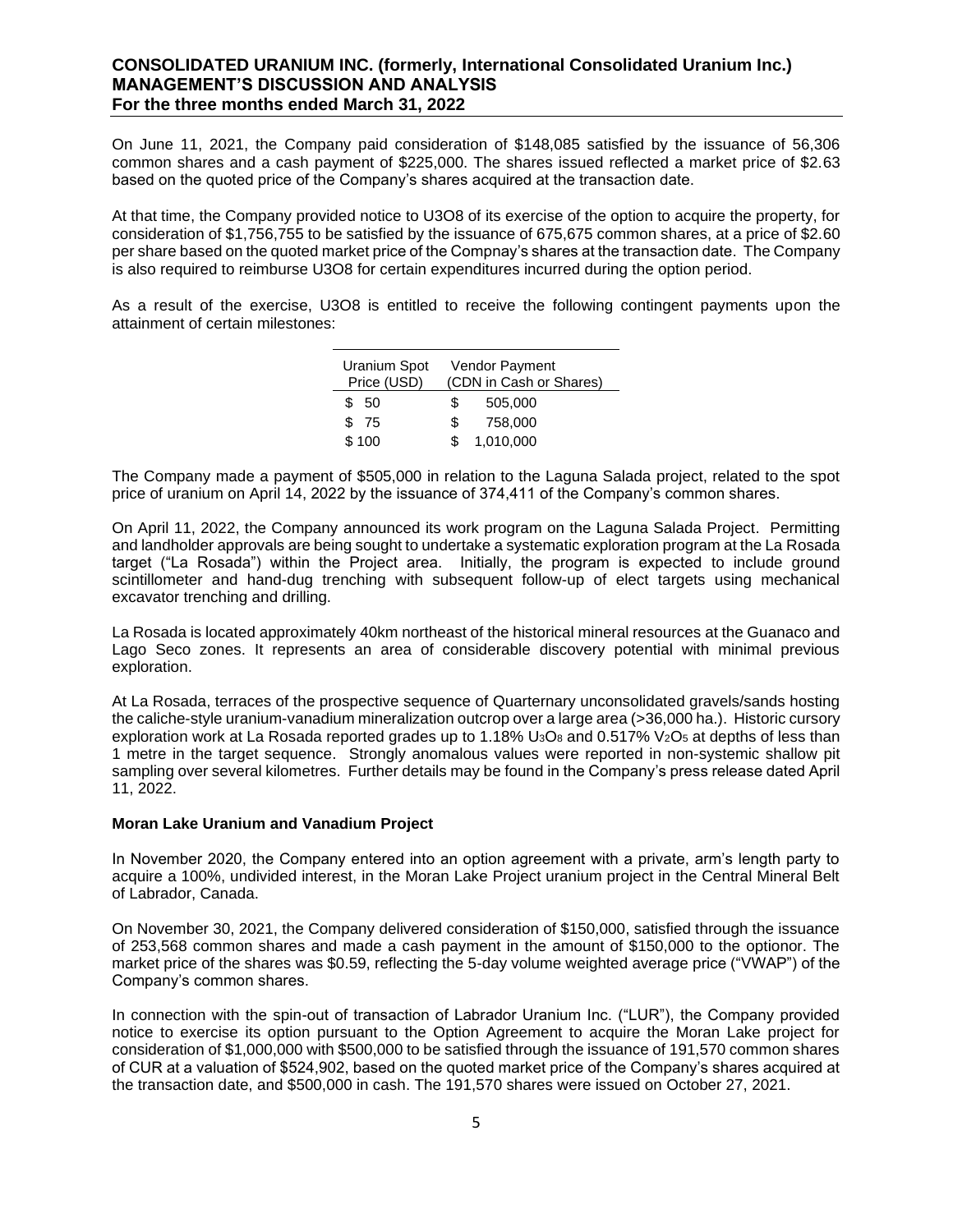On June 11, 2021, the Company paid consideration of \$148,085 satisfied by the issuance of 56,306 common shares and a cash payment of \$225,000. The shares issued reflected a market price of \$2.63 based on the quoted price of the Company's shares acquired at the transaction date.

At that time, the Company provided notice to U3O8 of its exercise of the option to acquire the property, for consideration of \$1,756,755 to be satisfied by the issuance of 675,675 common shares, at a price of \$2.60 per share based on the quoted market price of the Compnay's shares at the transaction date. The Company is also required to reimburse U3O8 for certain expenditures incurred during the option period.

As a result of the exercise, U3O8 is entitled to receive the following contingent payments upon the attainment of certain milestones:

| Uranium Spot<br>Price (USD) |     | <b>Vendor Payment</b><br>(CDN in Cash or Shares) |
|-----------------------------|-----|--------------------------------------------------|
| \$ 50                       | \$. | 505,000                                          |
| \$ 75                       | S.  | 758,000                                          |
| \$100                       |     | 1,010,000                                        |

The Company made a payment of \$505,000 in relation to the Laguna Salada project, related to the spot price of uranium on April 14, 2022 by the issuance of 374,411 of the Company's common shares.

On April 11, 2022, the Company announced its work program on the Laguna Salada Project. Permitting and landholder approvals are being sought to undertake a systematic exploration program at the La Rosada target ("La Rosada") within the Project area. Initially, the program is expected to include ground scintillometer and hand-dug trenching with subsequent follow-up of elect targets using mechanical excavator trenching and drilling.

La Rosada is located approximately 40km northeast of the historical mineral resources at the Guanaco and Lago Seco zones. It represents an area of considerable discovery potential with minimal previous exploration.

At La Rosada, terraces of the prospective sequence of Quarternary unconsolidated gravels/sands hosting the caliche-style uranium-vanadium mineralization outcrop over a large area (>36,000 ha.). Historic cursory exploration work at La Rosada reported grades up to 1.18% U<sub>3</sub>O<sub>8</sub> and 0.517% V<sub>2</sub>O<sub>5</sub> at depths of less than 1 metre in the target sequence. Strongly anomalous values were reported in non-systemic shallow pit sampling over several kilometres. Further details may be found in the Company's press release dated April 11, 2022.

### **Moran Lake Uranium and Vanadium Project**

In November 2020, the Company entered into an option agreement with a private, arm's length party to acquire a 100%, undivided interest, in the Moran Lake Project uranium project in the Central Mineral Belt of Labrador, Canada.

On November 30, 2021, the Company delivered consideration of \$150,000, satisfied through the issuance of 253,568 common shares and made a cash payment in the amount of \$150,000 to the optionor. The market price of the shares was \$0.59, reflecting the 5-day volume weighted average price ("VWAP") of the Company's common shares.

In connection with the spin-out of transaction of Labrador Uranium Inc. ("LUR"), the Company provided notice to exercise its option pursuant to the Option Agreement to acquire the Moran Lake project for consideration of \$1,000,000 with \$500,000 to be satisfied through the issuance of 191,570 common shares of CUR at a valuation of \$524,902, based on the quoted market price of the Company's shares acquired at the transaction date, and \$500,000 in cash. The 191,570 shares were issued on October 27, 2021.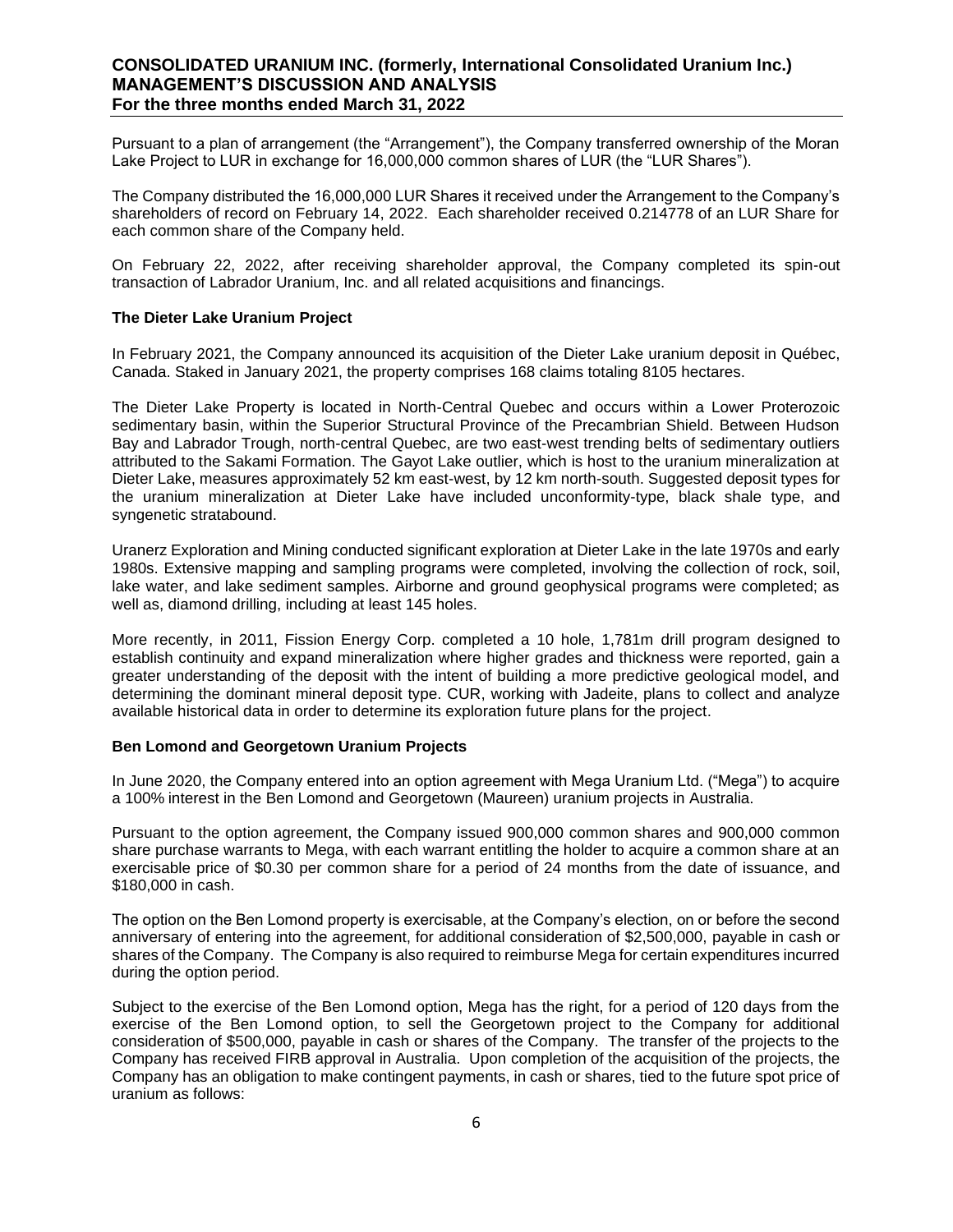Pursuant to a plan of arrangement (the "Arrangement"), the Company transferred ownership of the Moran Lake Project to LUR in exchange for 16,000,000 common shares of LUR (the "LUR Shares").

The Company distributed the 16,000,000 LUR Shares it received under the Arrangement to the Company's shareholders of record on February 14, 2022. Each shareholder received 0.214778 of an LUR Share for each common share of the Company held.

On February 22, 2022, after receiving shareholder approval, the Company completed its spin-out transaction of Labrador Uranium, Inc. and all related acquisitions and financings.

### **The Dieter Lake Uranium Project**

In February 2021, the Company announced its acquisition of the Dieter Lake uranium deposit in Québec, Canada. Staked in January 2021, the property comprises 168 claims totaling 8105 hectares.

The Dieter Lake Property is located in North-Central Quebec and occurs within a Lower Proterozoic sedimentary basin, within the Superior Structural Province of the Precambrian Shield. Between Hudson Bay and Labrador Trough, north-central Quebec, are two east-west trending belts of sedimentary outliers attributed to the Sakami Formation. The Gayot Lake outlier, which is host to the uranium mineralization at Dieter Lake, measures approximately 52 km east-west, by 12 km north-south. Suggested deposit types for the uranium mineralization at Dieter Lake have included unconformity-type, black shale type, and syngenetic stratabound.

Uranerz Exploration and Mining conducted significant exploration at Dieter Lake in the late 1970s and early 1980s. Extensive mapping and sampling programs were completed, involving the collection of rock, soil, lake water, and lake sediment samples. Airborne and ground geophysical programs were completed; as well as, diamond drilling, including at least 145 holes.

More recently, in 2011, Fission Energy Corp. completed a 10 hole, 1,781m drill program designed to establish continuity and expand mineralization where higher grades and thickness were reported, gain a greater understanding of the deposit with the intent of building a more predictive geological model, and determining the dominant mineral deposit type. CUR, working with Jadeite, plans to collect and analyze available historical data in order to determine its exploration future plans for the project.

### **Ben Lomond and Georgetown Uranium Projects**

In June 2020, the Company entered into an option agreement with Mega Uranium Ltd. ("Mega") to acquire a 100% interest in the Ben Lomond and Georgetown (Maureen) uranium projects in Australia.

Pursuant to the option agreement, the Company issued 900,000 common shares and 900,000 common share purchase warrants to Mega, with each warrant entitling the holder to acquire a common share at an exercisable price of \$0.30 per common share for a period of 24 months from the date of issuance, and \$180,000 in cash.

The option on the Ben Lomond property is exercisable, at the Company's election, on or before the second anniversary of entering into the agreement, for additional consideration of \$2,500,000, payable in cash or shares of the Company. The Company is also required to reimburse Mega for certain expenditures incurred during the option period.

Subject to the exercise of the Ben Lomond option, Mega has the right, for a period of 120 days from the exercise of the Ben Lomond option, to sell the Georgetown project to the Company for additional consideration of \$500,000, payable in cash or shares of the Company. The transfer of the projects to the Company has received FIRB approval in Australia. Upon completion of the acquisition of the projects, the Company has an obligation to make contingent payments, in cash or shares, tied to the future spot price of uranium as follows: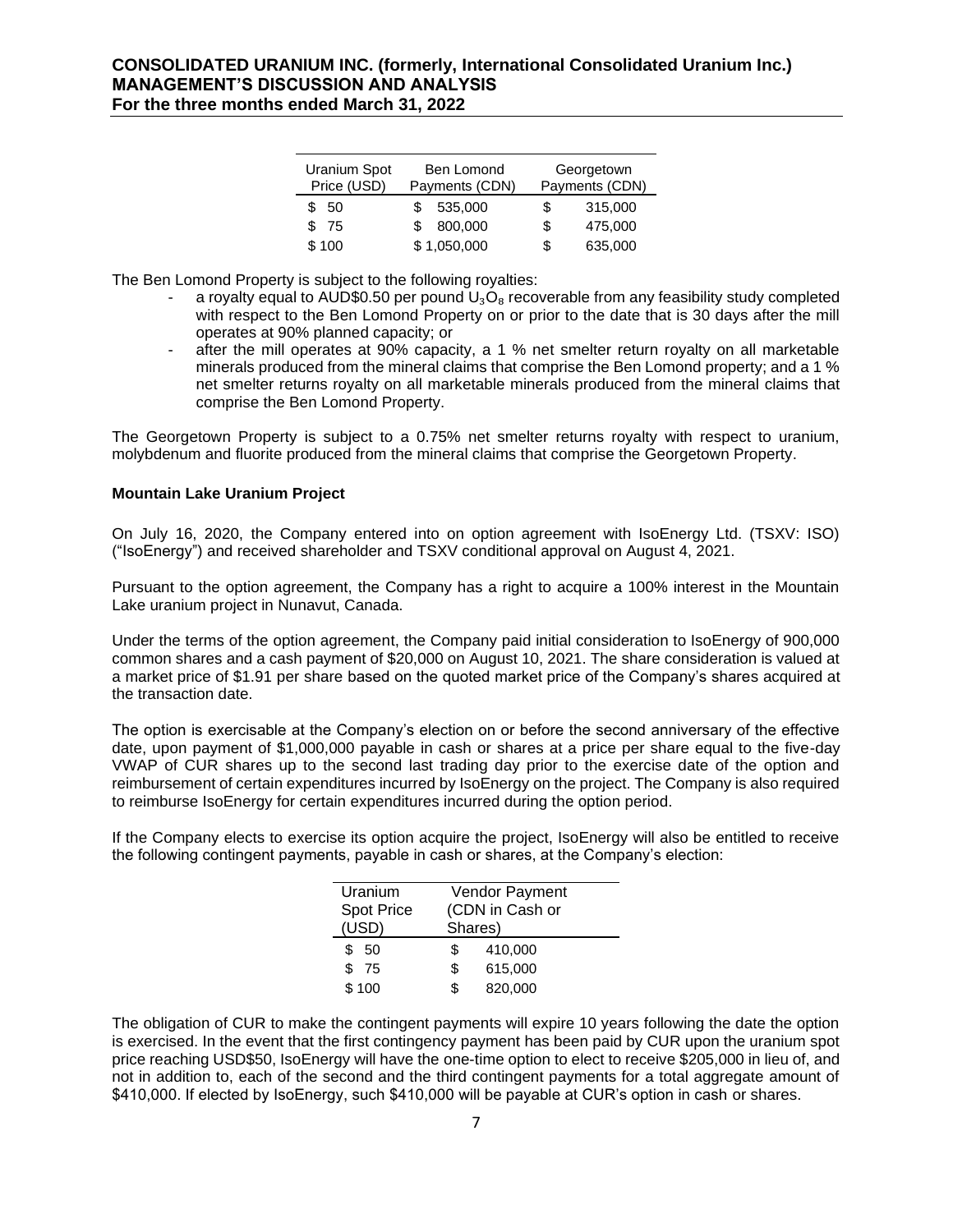| Uranium Spot<br>Price (USD) | Ben Lomond<br>Payments (CDN) | Georgetown<br>Payments (CDN) |         |  |
|-----------------------------|------------------------------|------------------------------|---------|--|
| \$ 50                       | 535.000                      | S                            | 315,000 |  |
| \$75                        | 800,000<br>\$.               | \$                           | 475,000 |  |
| \$100                       | \$1,050,000                  | \$                           | 635,000 |  |

The Ben Lomond Property is subject to the following royalties:

- a royalty equal to AUD\$0.50 per pound  $U_3O_8$  recoverable from any feasibility study completed with respect to the Ben Lomond Property on or prior to the date that is 30 days after the mill operates at 90% planned capacity; or
- after the mill operates at 90% capacity, a 1 % net smelter return royalty on all marketable minerals produced from the mineral claims that comprise the Ben Lomond property; and a 1 % net smelter returns royalty on all marketable minerals produced from the mineral claims that comprise the Ben Lomond Property.

The Georgetown Property is subject to a 0.75% net smelter returns royalty with respect to uranium, molybdenum and fluorite produced from the mineral claims that comprise the Georgetown Property.

### **Mountain Lake Uranium Project**

On July 16, 2020, the Company entered into on option agreement with IsoEnergy Ltd. (TSXV: ISO) ("IsoEnergy") and received shareholder and TSXV conditional approval on August 4, 2021.

Pursuant to the option agreement, the Company has a right to acquire a 100% interest in the Mountain Lake uranium project in Nunavut, Canada.

Under the terms of the option agreement, the Company paid initial consideration to IsoEnergy of 900,000 common shares and a cash payment of \$20,000 on August 10, 2021. The share consideration is valued at a market price of \$1.91 per share based on the quoted market price of the Company's shares acquired at the transaction date.

The option is exercisable at the Company's election on or before the second anniversary of the effective date, upon payment of \$1,000,000 payable in cash or shares at a price per share equal to the five-day VWAP of CUR shares up to the second last trading day prior to the exercise date of the option and reimbursement of certain expenditures incurred by IsoEnergy on the project. The Company is also required to reimburse IsoEnergy for certain expenditures incurred during the option period.

If the Company elects to exercise its option acquire the project, IsoEnergy will also be entitled to receive the following contingent payments, payable in cash or shares, at the Company's election:

| Uranium           |     | Vendor Payment  |  |  |  |
|-------------------|-----|-----------------|--|--|--|
| <b>Spot Price</b> |     | (CDN in Cash or |  |  |  |
| (USD)             |     | Shares)         |  |  |  |
| \$<br>50          | \$. | 410,000         |  |  |  |
| \$.<br>- 75       | \$  | 615,000         |  |  |  |
| \$100             |     | 820,000         |  |  |  |
|                   |     |                 |  |  |  |

The obligation of CUR to make the contingent payments will expire 10 years following the date the option is exercised. In the event that the first contingency payment has been paid by CUR upon the uranium spot price reaching USD\$50, IsoEnergy will have the one-time option to elect to receive \$205,000 in lieu of, and not in addition to, each of the second and the third contingent payments for a total aggregate amount of \$410,000. If elected by IsoEnergy, such \$410,000 will be payable at CUR's option in cash or shares.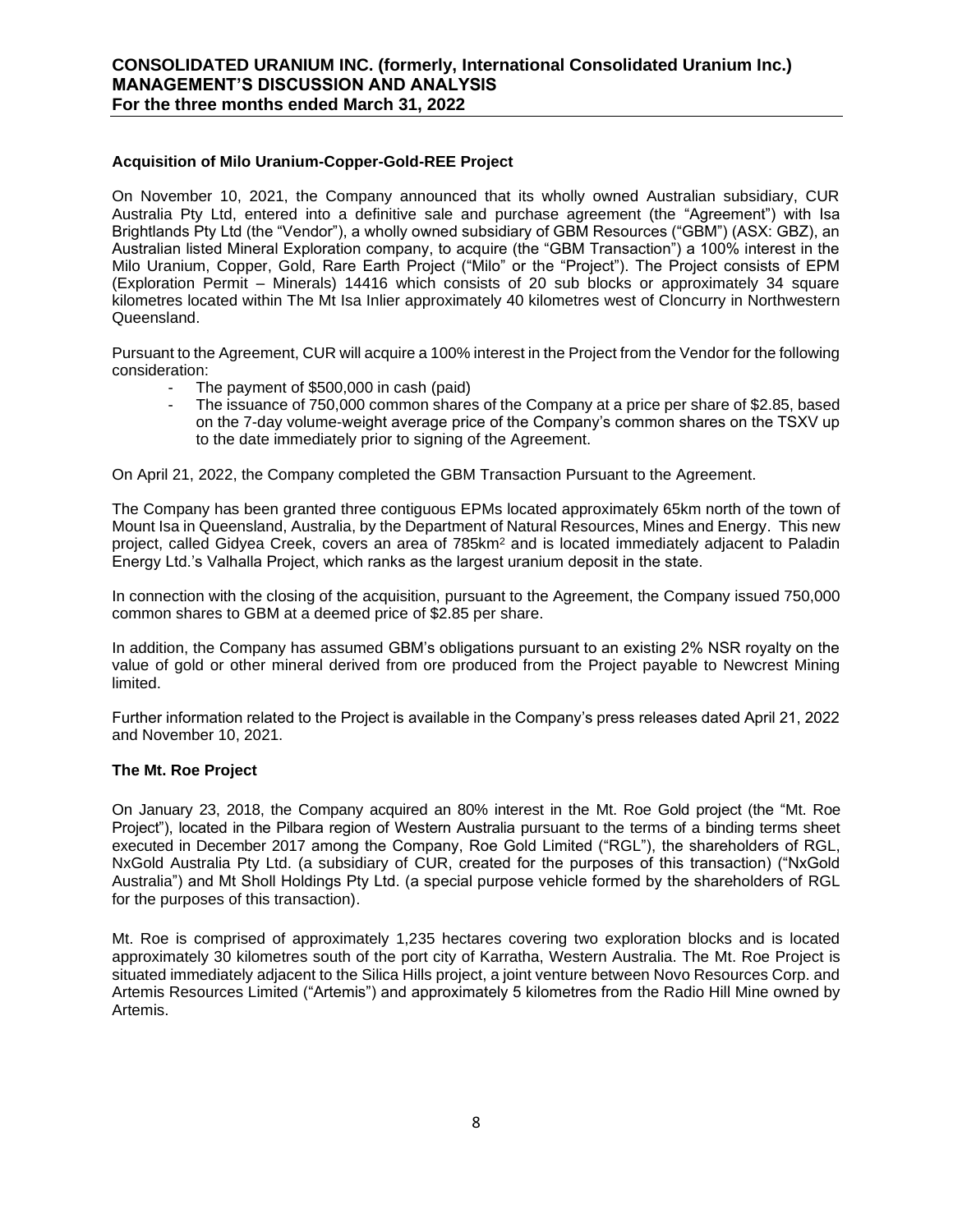### **Acquisition of Milo Uranium-Copper-Gold-REE Project**

On November 10, 2021, the Company announced that its wholly owned Australian subsidiary, CUR Australia Pty Ltd, entered into a definitive sale and purchase agreement (the "Agreement") with Isa Brightlands Pty Ltd (the "Vendor"), a wholly owned subsidiary of GBM Resources ("GBM") (ASX: GBZ), an Australian listed Mineral Exploration company, to acquire (the "GBM Transaction") a 100% interest in the Milo Uranium, Copper, Gold, Rare Earth Project ("Milo" or the "Project"). The Project consists of EPM (Exploration Permit – Minerals) 14416 which consists of 20 sub blocks or approximately 34 square kilometres located within The Mt Isa Inlier approximately 40 kilometres west of Cloncurry in Northwestern Queensland.

Pursuant to the Agreement, CUR will acquire a 100% interest in the Project from the Vendor for the following consideration:

- The payment of \$500,000 in cash (paid)
- The issuance of 750,000 common shares of the Company at a price per share of \$2.85, based on the 7-day volume-weight average price of the Company's common shares on the TSXV up to the date immediately prior to signing of the Agreement.

On April 21, 2022, the Company completed the GBM Transaction Pursuant to the Agreement.

The Company has been granted three contiguous EPMs located approximately 65km north of the town of Mount Isa in Queensland, Australia, by the Department of Natural Resources, Mines and Energy. This new project, called Gidyea Creek, covers an area of 785km<sup>2</sup> and is located immediately adjacent to Paladin Energy Ltd.'s Valhalla Project, which ranks as the largest uranium deposit in the state.

In connection with the closing of the acquisition, pursuant to the Agreement, the Company issued 750,000 common shares to GBM at a deemed price of \$2.85 per share.

In addition, the Company has assumed GBM's obligations pursuant to an existing 2% NSR royalty on the value of gold or other mineral derived from ore produced from the Project payable to Newcrest Mining limited.

Further information related to the Project is available in the Company's press releases dated April 21, 2022 and November 10, 2021.

### **The Mt. Roe Project**

On January 23, 2018, the Company acquired an 80% interest in the Mt. Roe Gold project (the "Mt. Roe Project"), located in the Pilbara region of Western Australia pursuant to the terms of a binding terms sheet executed in December 2017 among the Company, Roe Gold Limited ("RGL"), the shareholders of RGL, NxGold Australia Pty Ltd. (a subsidiary of CUR, created for the purposes of this transaction) ("NxGold Australia") and Mt Sholl Holdings Pty Ltd. (a special purpose vehicle formed by the shareholders of RGL for the purposes of this transaction).

Mt. Roe is comprised of approximately 1,235 hectares covering two exploration blocks and is located approximately 30 kilometres south of the port city of Karratha, Western Australia. The Mt. Roe Project is situated immediately adjacent to the Silica Hills project, a joint venture between Novo Resources Corp. and Artemis Resources Limited ("Artemis") and approximately 5 kilometres from the Radio Hill Mine owned by Artemis.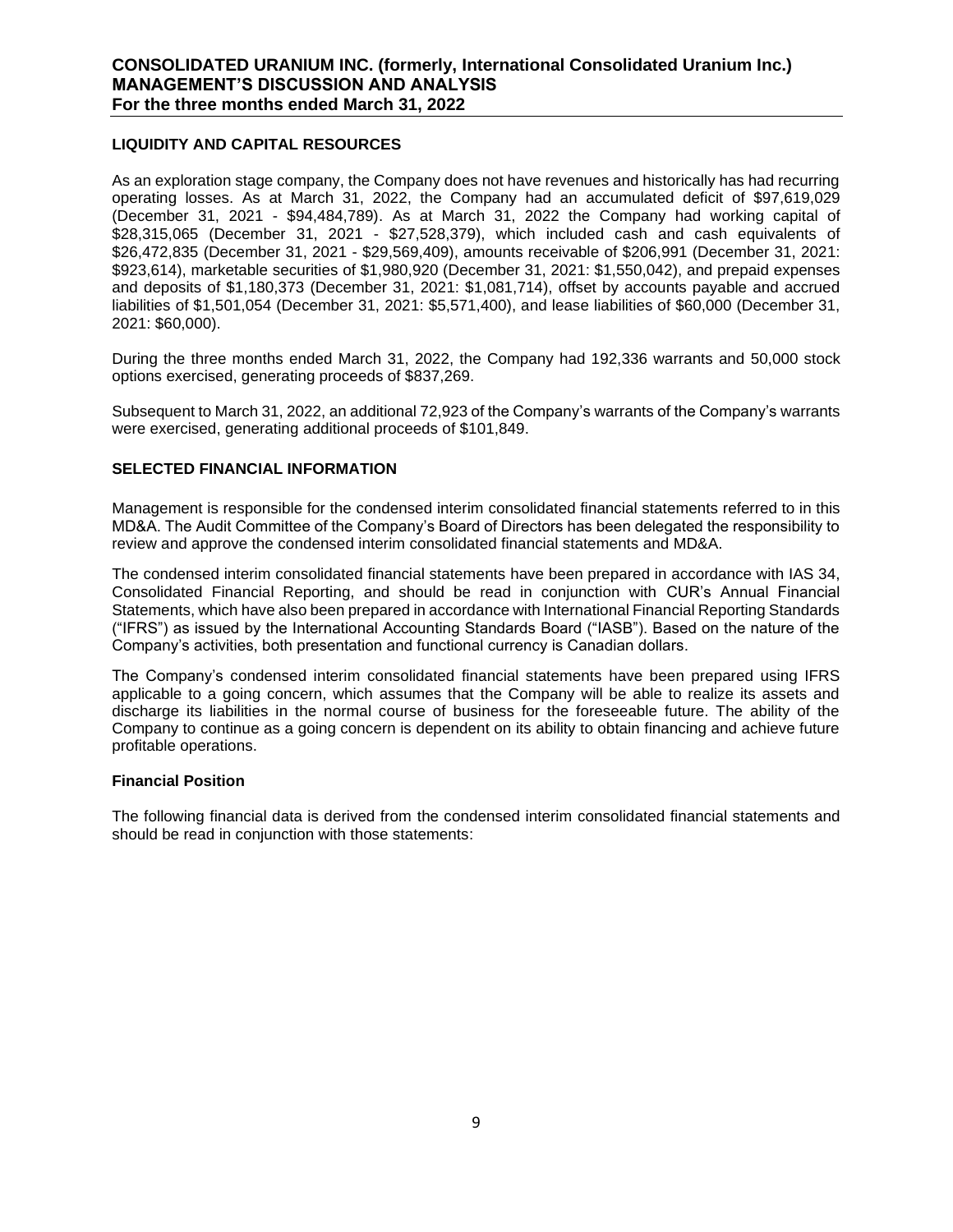### **LIQUIDITY AND CAPITAL RESOURCES**

As an exploration stage company, the Company does not have revenues and historically has had recurring operating losses. As at March 31, 2022, the Company had an accumulated deficit of \$97,619,029 (December 31, 2021 - \$94,484,789). As at March 31, 2022 the Company had working capital of \$28,315,065 (December 31, 2021 - \$27,528,379), which included cash and cash equivalents of \$26,472,835 (December 31, 2021 - \$29,569,409), amounts receivable of \$206,991 (December 31, 2021: \$923,614), marketable securities of \$1,980,920 (December 31, 2021: \$1,550,042), and prepaid expenses and deposits of \$1,180,373 (December 31, 2021: \$1,081,714), offset by accounts payable and accrued liabilities of \$1,501,054 (December 31, 2021: \$5,571,400), and lease liabilities of \$60,000 (December 31, 2021: \$60,000).

During the three months ended March 31, 2022, the Company had 192,336 warrants and 50,000 stock options exercised, generating proceeds of \$837,269.

Subsequent to March 31, 2022, an additional 72,923 of the Company's warrants of the Company's warrants were exercised, generating additional proceeds of \$101,849.

### **SELECTED FINANCIAL INFORMATION**

Management is responsible for the condensed interim consolidated financial statements referred to in this MD&A. The Audit Committee of the Company's Board of Directors has been delegated the responsibility to review and approve the condensed interim consolidated financial statements and MD&A.

The condensed interim consolidated financial statements have been prepared in accordance with IAS 34, Consolidated Financial Reporting, and should be read in conjunction with CUR's Annual Financial Statements, which have also been prepared in accordance with International Financial Reporting Standards ("IFRS") as issued by the International Accounting Standards Board ("IASB"). Based on the nature of the Company's activities, both presentation and functional currency is Canadian dollars.

The Company's condensed interim consolidated financial statements have been prepared using IFRS applicable to a going concern, which assumes that the Company will be able to realize its assets and discharge its liabilities in the normal course of business for the foreseeable future. The ability of the Company to continue as a going concern is dependent on its ability to obtain financing and achieve future profitable operations.

### **Financial Position**

The following financial data is derived from the condensed interim consolidated financial statements and should be read in conjunction with those statements: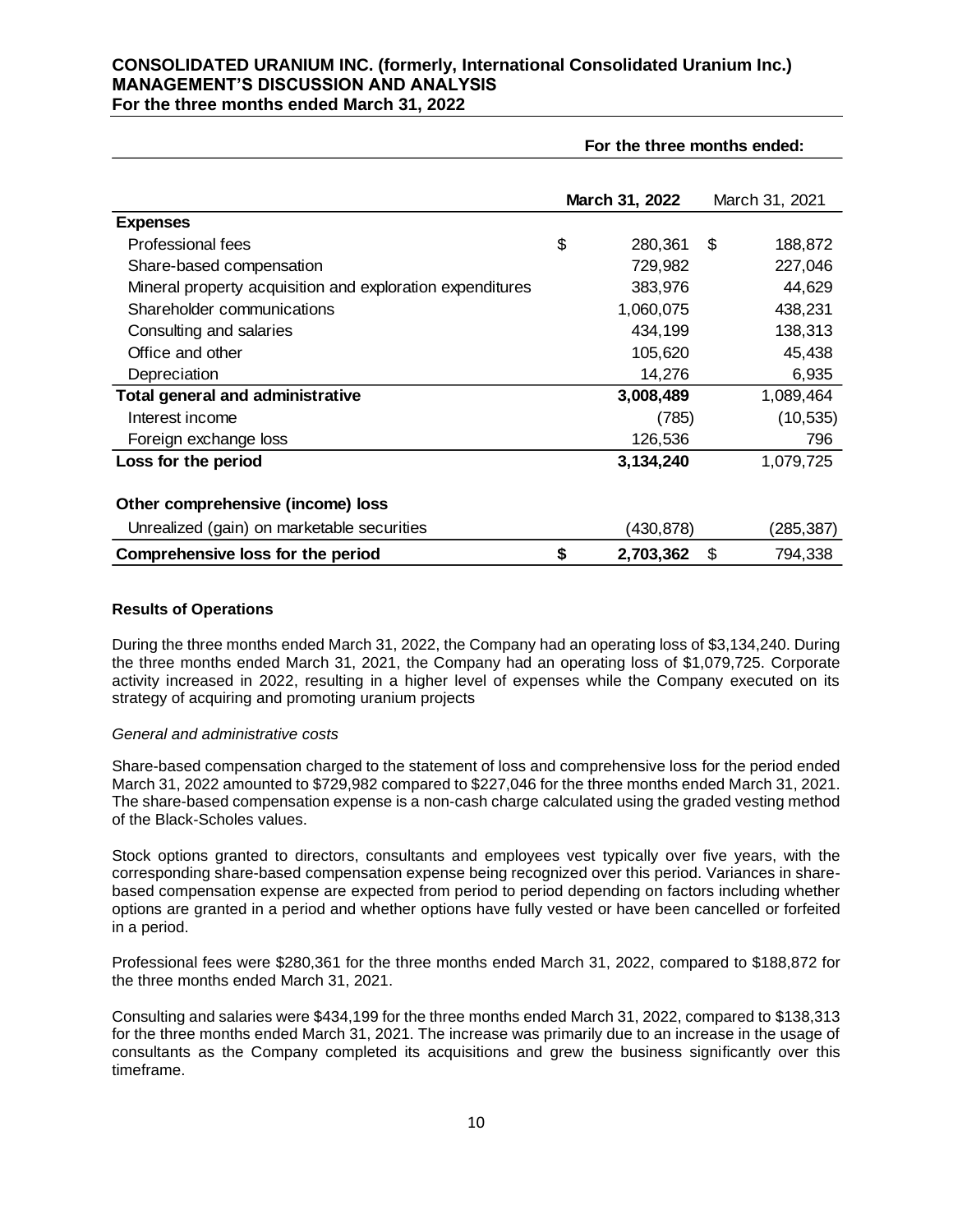|  |  |  | For the three months ended March 31, 2022 |  |
|--|--|--|-------------------------------------------|--|
|  |  |  |                                           |  |

|                                                           | For the three months ended: |                |    |                |
|-----------------------------------------------------------|-----------------------------|----------------|----|----------------|
|                                                           |                             | March 31, 2022 |    | March 31, 2021 |
| <b>Expenses</b>                                           |                             |                |    |                |
| Professional fees                                         | \$                          | 280,361        | \$ | 188,872        |
| Share-based compensation                                  |                             | 729,982        |    | 227,046        |
| Mineral property acquisition and exploration expenditures |                             | 383,976        |    | 44,629         |
| Shareholder communications                                |                             | 1,060,075      |    | 438,231        |
| Consulting and salaries                                   |                             | 434,199        |    | 138,313        |
| Office and other                                          |                             | 105,620        |    | 45,438         |
| Depreciation                                              |                             | 14,276         |    | 6,935          |
| <b>Total general and administrative</b>                   |                             | 3,008,489      |    | 1,089,464      |
| Interest income                                           |                             | (785)          |    | (10, 535)      |
| Foreign exchange loss                                     |                             | 126,536        |    | 796            |
| Loss for the period                                       |                             | 3,134,240      |    | 1,079,725      |
| Other comprehensive (income) loss                         |                             |                |    |                |
| Unrealized (gain) on marketable securities                |                             | (430,878)      |    | (285,387)      |
| Comprehensive loss for the period                         | \$                          | 2,703,362      | \$ | 794,338        |

### **Results of Operations**

During the three months ended March 31, 2022, the Company had an operating loss of \$3,134,240. During the three months ended March 31, 2021, the Company had an operating loss of \$1,079,725. Corporate activity increased in 2022, resulting in a higher level of expenses while the Company executed on its strategy of acquiring and promoting uranium projects

### *General and administrative costs*

Share-based compensation charged to the statement of loss and comprehensive loss for the period ended March 31, 2022 amounted to \$729,982 compared to \$227,046 for the three months ended March 31, 2021. The share-based compensation expense is a non-cash charge calculated using the graded vesting method of the Black-Scholes values.

Stock options granted to directors, consultants and employees vest typically over five years, with the corresponding share-based compensation expense being recognized over this period. Variances in sharebased compensation expense are expected from period to period depending on factors including whether options are granted in a period and whether options have fully vested or have been cancelled or forfeited in a period.

Professional fees were \$280,361 for the three months ended March 31, 2022, compared to \$188,872 for the three months ended March 31, 2021.

Consulting and salaries were \$434,199 for the three months ended March 31, 2022, compared to \$138,313 for the three months ended March 31, 2021. The increase was primarily due to an increase in the usage of consultants as the Company completed its acquisitions and grew the business significantly over this timeframe.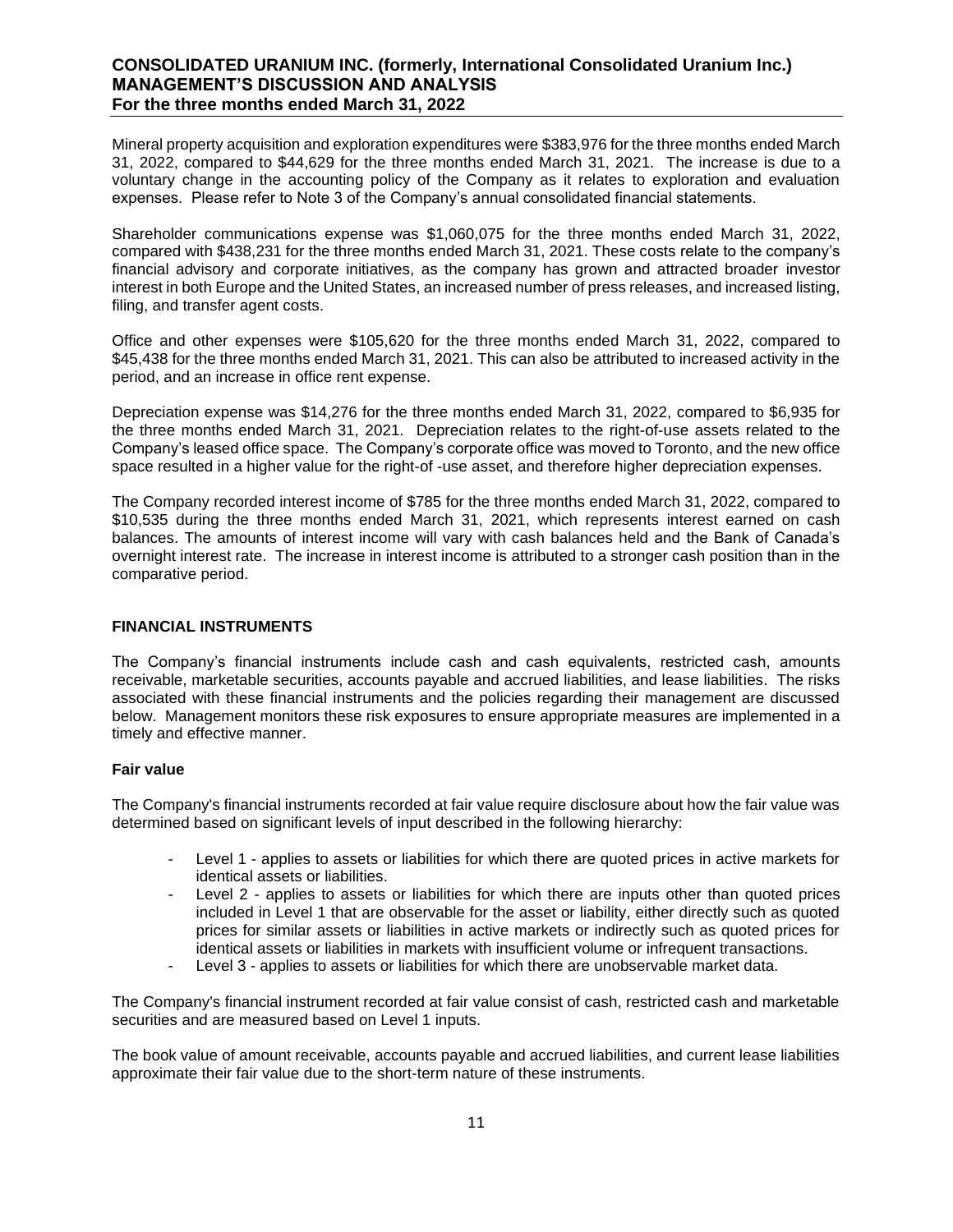Mineral property acquisition and exploration expenditures were \$383,976 for the three months ended March 31, 2022, compared to \$44,629 for the three months ended March 31, 2021. The increase is due to a voluntary change in the accounting policy of the Company as it relates to exploration and evaluation expenses. Please refer to Note 3 of the Company's annual consolidated financial statements.

Shareholder communications expense was \$1,060,075 for the three months ended March 31, 2022, compared with \$438,231 for the three months ended March 31, 2021. These costs relate to the company's financial advisory and corporate initiatives, as the company has grown and attracted broader investor interest in both Europe and the United States, an increased number of press releases, and increased listing, filing, and transfer agent costs.

Office and other expenses were \$105,620 for the three months ended March 31, 2022, compared to \$45,438 for the three months ended March 31, 2021. This can also be attributed to increased activity in the period, and an increase in office rent expense.

Depreciation expense was \$14,276 for the three months ended March 31, 2022, compared to \$6,935 for the three months ended March 31, 2021. Depreciation relates to the right-of-use assets related to the Company's leased office space. The Company's corporate office was moved to Toronto, and the new office space resulted in a higher value for the right-of -use asset, and therefore higher depreciation expenses.

The Company recorded interest income of \$785 for the three months ended March 31, 2022, compared to \$10,535 during the three months ended March 31, 2021, which represents interest earned on cash balances. The amounts of interest income will vary with cash balances held and the Bank of Canada's overnight interest rate. The increase in interest income is attributed to a stronger cash position than in the comparative period.

### **FINANCIAL INSTRUMENTS**

The Company's financial instruments include cash and cash equivalents, restricted cash, amounts receivable, marketable securities, accounts payable and accrued liabilities, and lease liabilities. The risks associated with these financial instruments and the policies regarding their management are discussed below. Management monitors these risk exposures to ensure appropriate measures are implemented in a timely and effective manner.

### **Fair value**

The Company's financial instruments recorded at fair value require disclosure about how the fair value was determined based on significant levels of input described in the following hierarchy:

- Level 1 applies to assets or liabilities for which there are quoted prices in active markets for identical assets or liabilities.
- Level 2 applies to assets or liabilities for which there are inputs other than quoted prices included in Level 1 that are observable for the asset or liability, either directly such as quoted prices for similar assets or liabilities in active markets or indirectly such as quoted prices for identical assets or liabilities in markets with insufficient volume or infrequent transactions.
- Level 3 applies to assets or liabilities for which there are unobservable market data.

The Company's financial instrument recorded at fair value consist of cash, restricted cash and marketable securities and are measured based on Level 1 inputs.

The book value of amount receivable, accounts payable and accrued liabilities, and current lease liabilities approximate their fair value due to the short-term nature of these instruments.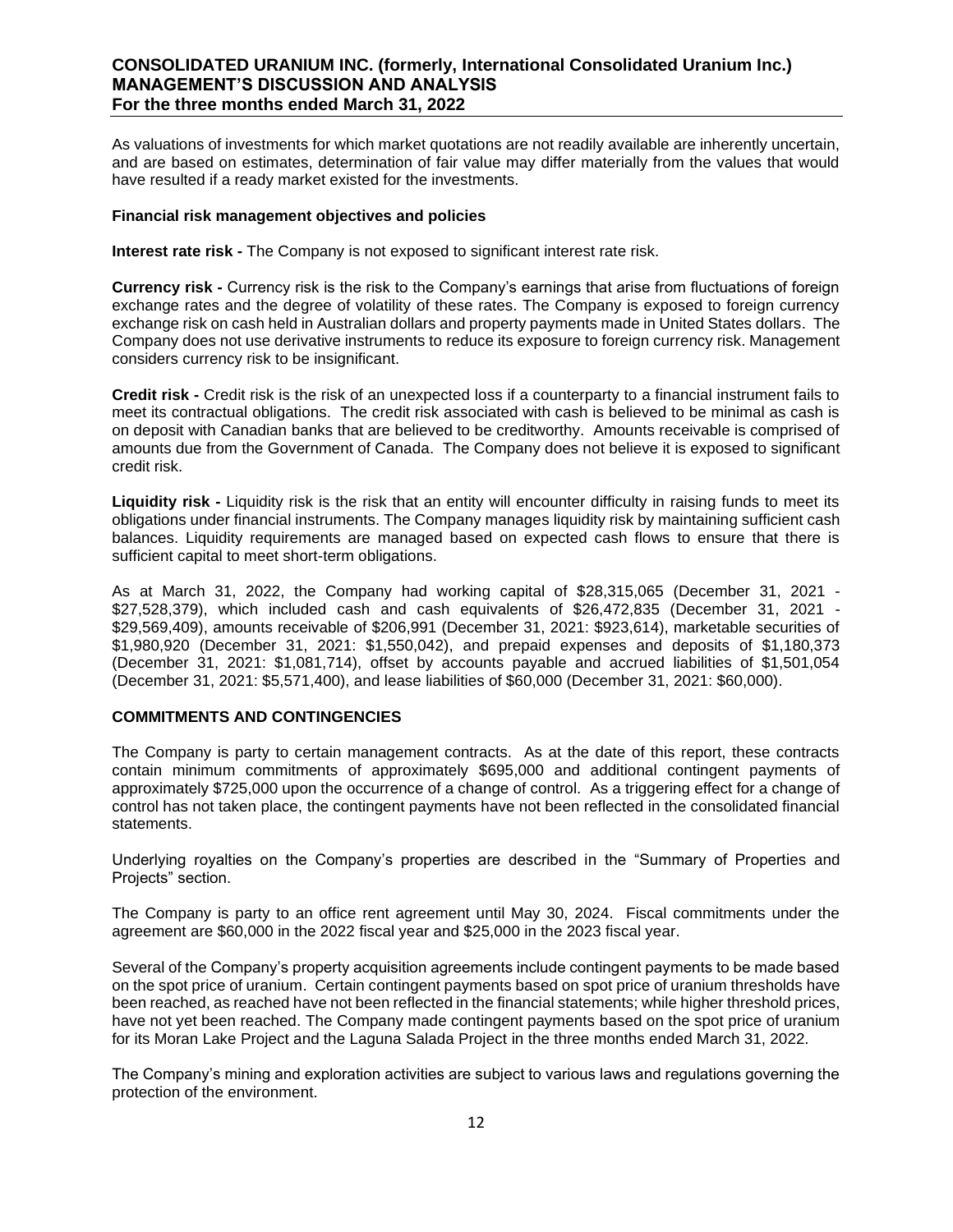As valuations of investments for which market quotations are not readily available are inherently uncertain, and are based on estimates, determination of fair value may differ materially from the values that would have resulted if a ready market existed for the investments.

### **Financial risk management objectives and policies**

**Interest rate risk -** The Company is not exposed to significant interest rate risk.

**Currency risk -** Currency risk is the risk to the Company's earnings that arise from fluctuations of foreign exchange rates and the degree of volatility of these rates. The Company is exposed to foreign currency exchange risk on cash held in Australian dollars and property payments made in United States dollars. The Company does not use derivative instruments to reduce its exposure to foreign currency risk. Management considers currency risk to be insignificant.

**Credit risk -** Credit risk is the risk of an unexpected loss if a counterparty to a financial instrument fails to meet its contractual obligations. The credit risk associated with cash is believed to be minimal as cash is on deposit with Canadian banks that are believed to be creditworthy. Amounts receivable is comprised of amounts due from the Government of Canada. The Company does not believe it is exposed to significant credit risk.

**Liquidity risk -** Liquidity risk is the risk that an entity will encounter difficulty in raising funds to meet its obligations under financial instruments. The Company manages liquidity risk by maintaining sufficient cash balances. Liquidity requirements are managed based on expected cash flows to ensure that there is sufficient capital to meet short-term obligations.

As at March 31, 2022, the Company had working capital of \$28,315,065 (December 31, 2021 - \$27,528,379), which included cash and cash equivalents of \$26,472,835 (December 31, 2021 - \$29,569,409), amounts receivable of \$206,991 (December 31, 2021: \$923,614), marketable securities of \$1,980,920 (December 31, 2021: \$1,550,042), and prepaid expenses and deposits of \$1,180,373 (December 31, 2021: \$1,081,714), offset by accounts payable and accrued liabilities of \$1,501,054 (December 31, 2021: \$5,571,400), and lease liabilities of \$60,000 (December 31, 2021: \$60,000).

### **COMMITMENTS AND CONTINGENCIES**

The Company is party to certain management contracts. As at the date of this report, these contracts contain minimum commitments of approximately \$695,000 and additional contingent payments of approximately \$725,000 upon the occurrence of a change of control. As a triggering effect for a change of control has not taken place, the contingent payments have not been reflected in the consolidated financial statements.

Underlying royalties on the Company's properties are described in the "Summary of Properties and Projects" section.

The Company is party to an office rent agreement until May 30, 2024. Fiscal commitments under the agreement are \$60,000 in the 2022 fiscal year and \$25,000 in the 2023 fiscal year.

Several of the Company's property acquisition agreements include contingent payments to be made based on the spot price of uranium. Certain contingent payments based on spot price of uranium thresholds have been reached, as reached have not been reflected in the financial statements; while higher threshold prices, have not yet been reached. The Company made contingent payments based on the spot price of uranium for its Moran Lake Project and the Laguna Salada Project in the three months ended March 31, 2022.

The Company's mining and exploration activities are subject to various laws and regulations governing the protection of the environment.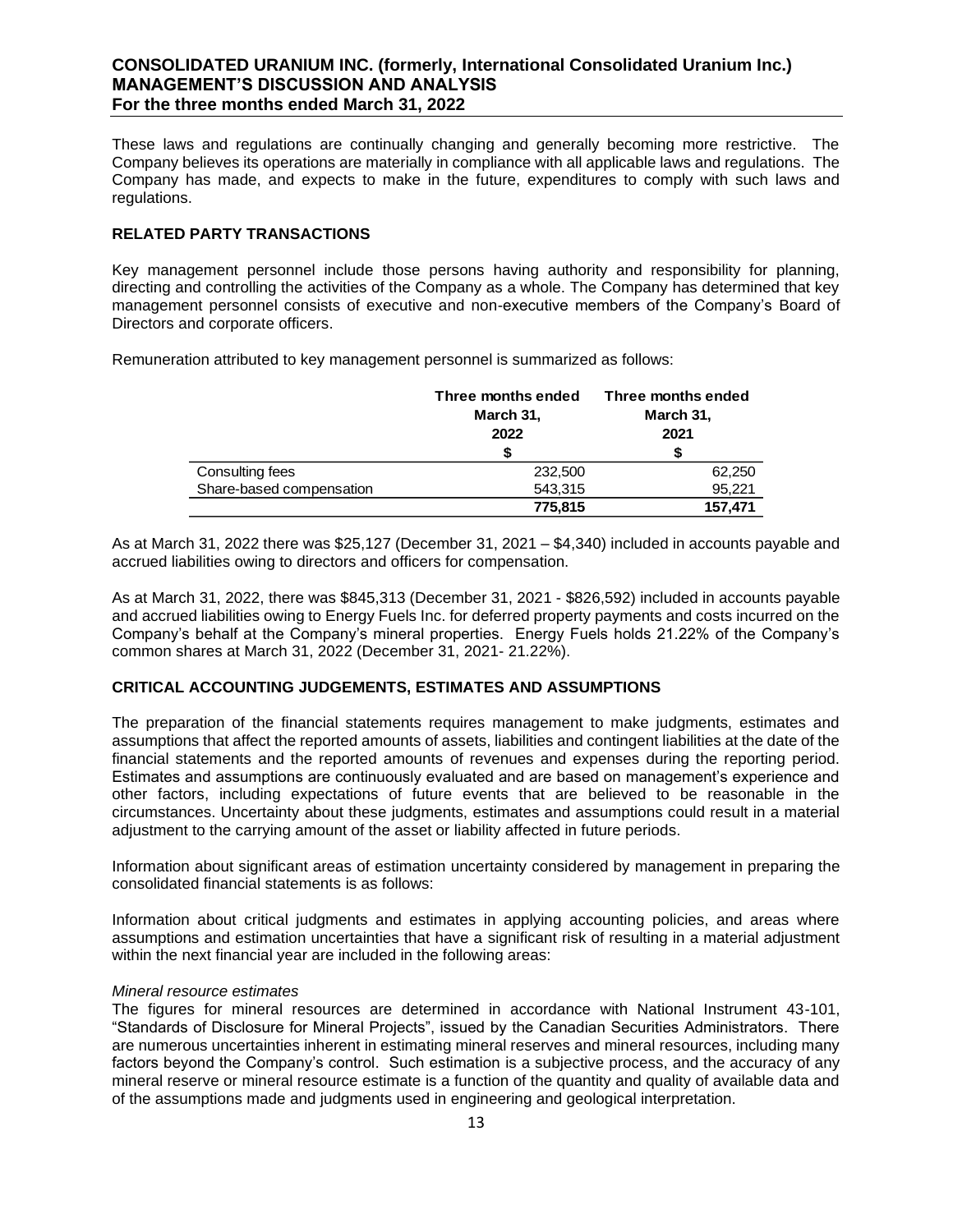These laws and regulations are continually changing and generally becoming more restrictive. The Company believes its operations are materially in compliance with all applicable laws and regulations. The Company has made, and expects to make in the future, expenditures to comply with such laws and regulations.

### **RELATED PARTY TRANSACTIONS**

Key management personnel include those persons having authority and responsibility for planning, directing and controlling the activities of the Company as a whole. The Company has determined that key management personnel consists of executive and non-executive members of the Company's Board of Directors and corporate officers.

Remuneration attributed to key management personnel is summarized as follows:

|                          | Three months ended<br>March 31,<br>2022 | Three months ended<br>March 31,<br>2021 |  |  |
|--------------------------|-----------------------------------------|-----------------------------------------|--|--|
|                          |                                         | S                                       |  |  |
| Consulting fees          | 232,500                                 | 62,250                                  |  |  |
| Share-based compensation | 543,315                                 | 95,221                                  |  |  |
|                          | 775,815                                 | 157,471                                 |  |  |

As at March 31, 2022 there was \$25,127 (December 31, 2021 – \$4,340) included in accounts payable and accrued liabilities owing to directors and officers for compensation.

As at March 31, 2022, there was \$845,313 (December 31, 2021 - \$826,592) included in accounts payable and accrued liabilities owing to Energy Fuels Inc. for deferred property payments and costs incurred on the Company's behalf at the Company's mineral properties. Energy Fuels holds 21.22% of the Company's common shares at March 31, 2022 (December 31, 2021- 21.22%).

### **CRITICAL ACCOUNTING JUDGEMENTS, ESTIMATES AND ASSUMPTIONS**

The preparation of the financial statements requires management to make judgments, estimates and assumptions that affect the reported amounts of assets, liabilities and contingent liabilities at the date of the financial statements and the reported amounts of revenues and expenses during the reporting period. Estimates and assumptions are continuously evaluated and are based on management's experience and other factors, including expectations of future events that are believed to be reasonable in the circumstances. Uncertainty about these judgments, estimates and assumptions could result in a material adjustment to the carrying amount of the asset or liability affected in future periods.

Information about significant areas of estimation uncertainty considered by management in preparing the consolidated financial statements is as follows:

Information about critical judgments and estimates in applying accounting policies, and areas where assumptions and estimation uncertainties that have a significant risk of resulting in a material adjustment within the next financial year are included in the following areas:

### *Mineral resource estimates*

The figures for mineral resources are determined in accordance with National Instrument 43-101, "Standards of Disclosure for Mineral Projects", issued by the Canadian Securities Administrators. There are numerous uncertainties inherent in estimating mineral reserves and mineral resources, including many factors beyond the Company's control. Such estimation is a subjective process, and the accuracy of any mineral reserve or mineral resource estimate is a function of the quantity and quality of available data and of the assumptions made and judgments used in engineering and geological interpretation.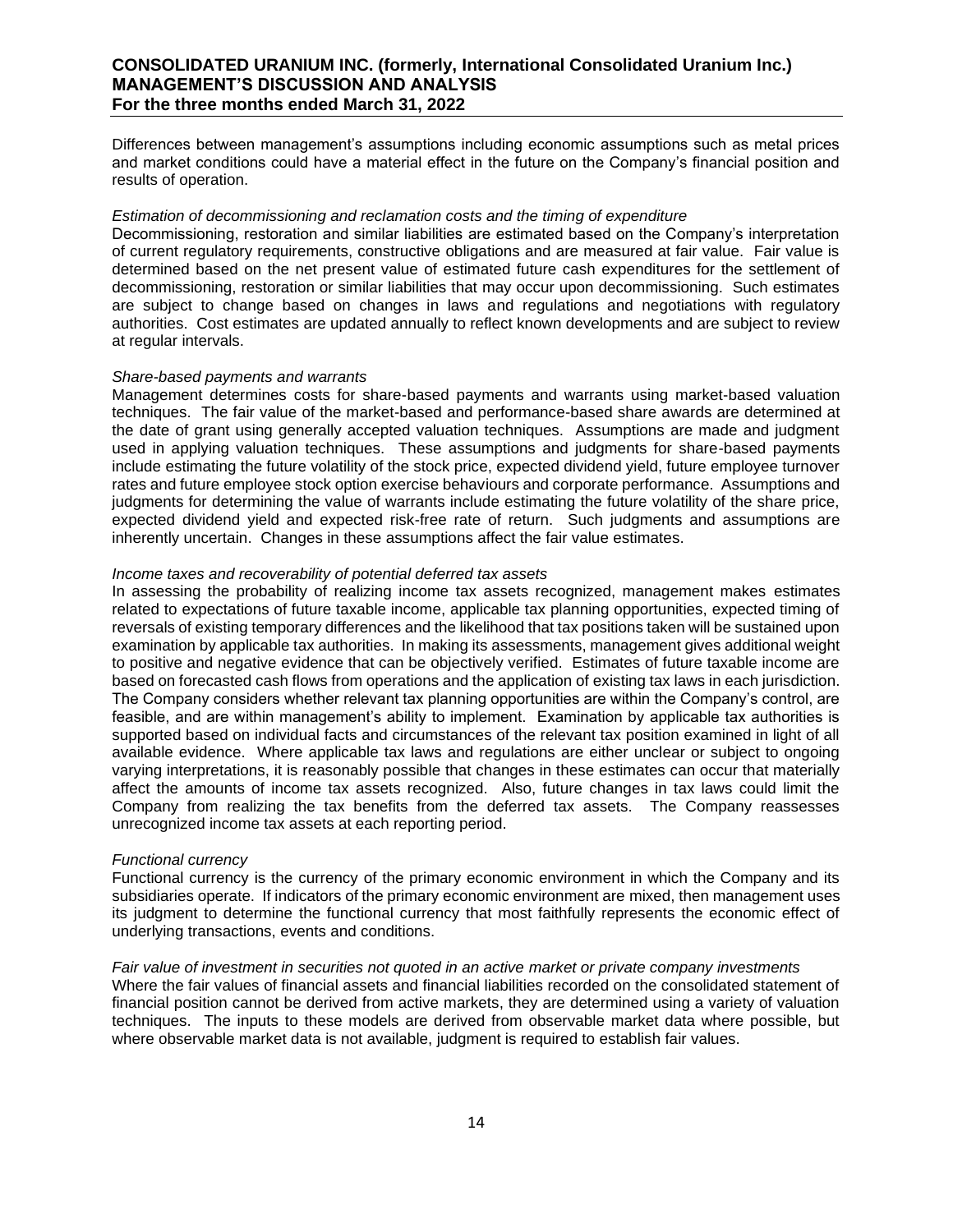Differences between management's assumptions including economic assumptions such as metal prices and market conditions could have a material effect in the future on the Company's financial position and results of operation.

### *Estimation of decommissioning and reclamation costs and the timing of expenditure*

Decommissioning, restoration and similar liabilities are estimated based on the Company's interpretation of current regulatory requirements, constructive obligations and are measured at fair value. Fair value is determined based on the net present value of estimated future cash expenditures for the settlement of decommissioning, restoration or similar liabilities that may occur upon decommissioning. Such estimates are subject to change based on changes in laws and regulations and negotiations with regulatory authorities. Cost estimates are updated annually to reflect known developments and are subject to review at regular intervals.

### *Share-based payments and warrants*

Management determines costs for share-based payments and warrants using market-based valuation techniques. The fair value of the market-based and performance-based share awards are determined at the date of grant using generally accepted valuation techniques. Assumptions are made and judgment used in applying valuation techniques. These assumptions and judgments for share-based payments include estimating the future volatility of the stock price, expected dividend yield, future employee turnover rates and future employee stock option exercise behaviours and corporate performance. Assumptions and judgments for determining the value of warrants include estimating the future volatility of the share price, expected dividend yield and expected risk-free rate of return. Such judgments and assumptions are inherently uncertain. Changes in these assumptions affect the fair value estimates.

### *Income taxes and recoverability of potential deferred tax assets*

In assessing the probability of realizing income tax assets recognized, management makes estimates related to expectations of future taxable income, applicable tax planning opportunities, expected timing of reversals of existing temporary differences and the likelihood that tax positions taken will be sustained upon examination by applicable tax authorities. In making its assessments, management gives additional weight to positive and negative evidence that can be objectively verified. Estimates of future taxable income are based on forecasted cash flows from operations and the application of existing tax laws in each jurisdiction. The Company considers whether relevant tax planning opportunities are within the Company's control, are feasible, and are within management's ability to implement. Examination by applicable tax authorities is supported based on individual facts and circumstances of the relevant tax position examined in light of all available evidence. Where applicable tax laws and regulations are either unclear or subject to ongoing varying interpretations, it is reasonably possible that changes in these estimates can occur that materially affect the amounts of income tax assets recognized. Also, future changes in tax laws could limit the Company from realizing the tax benefits from the deferred tax assets. The Company reassesses unrecognized income tax assets at each reporting period.

### *Functional currency*

Functional currency is the currency of the primary economic environment in which the Company and its subsidiaries operate. If indicators of the primary economic environment are mixed, then management uses its judgment to determine the functional currency that most faithfully represents the economic effect of underlying transactions, events and conditions.

### *Fair value of investment in securities not quoted in an active market or private company investments*

Where the fair values of financial assets and financial liabilities recorded on the consolidated statement of financial position cannot be derived from active markets, they are determined using a variety of valuation techniques. The inputs to these models are derived from observable market data where possible, but where observable market data is not available, judgment is required to establish fair values.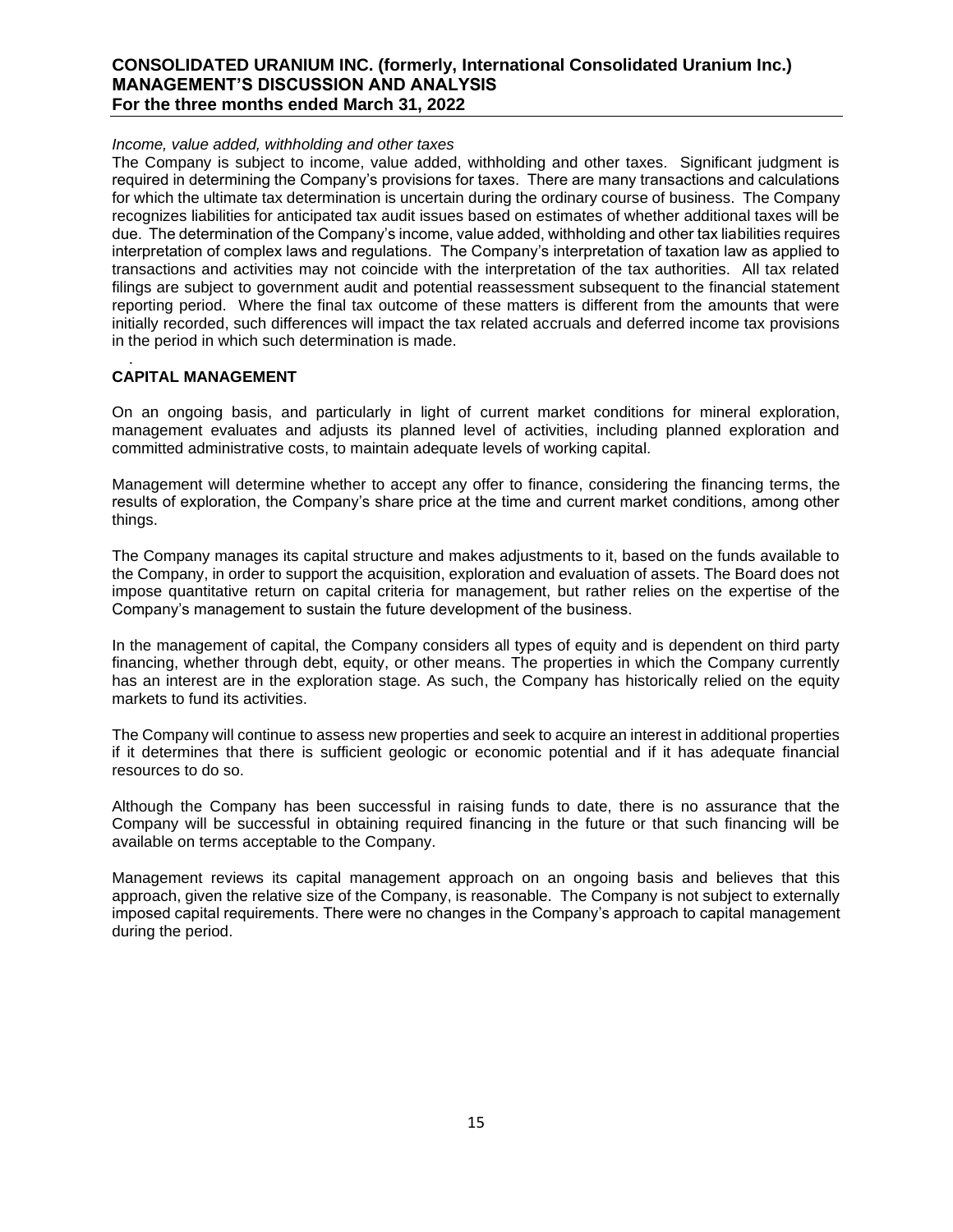### *Income, value added, withholding and other taxes*

The Company is subject to income, value added, withholding and other taxes. Significant judgment is required in determining the Company's provisions for taxes. There are many transactions and calculations for which the ultimate tax determination is uncertain during the ordinary course of business. The Company recognizes liabilities for anticipated tax audit issues based on estimates of whether additional taxes will be due. The determination of the Company's income, value added, withholding and other tax liabilities requires interpretation of complex laws and regulations. The Company's interpretation of taxation law as applied to transactions and activities may not coincide with the interpretation of the tax authorities. All tax related filings are subject to government audit and potential reassessment subsequent to the financial statement reporting period. Where the final tax outcome of these matters is different from the amounts that were initially recorded, such differences will impact the tax related accruals and deferred income tax provisions in the period in which such determination is made.

### . **CAPITAL MANAGEMENT**

On an ongoing basis, and particularly in light of current market conditions for mineral exploration, management evaluates and adjusts its planned level of activities, including planned exploration and committed administrative costs, to maintain adequate levels of working capital.

Management will determine whether to accept any offer to finance, considering the financing terms, the results of exploration, the Company's share price at the time and current market conditions, among other things.

The Company manages its capital structure and makes adjustments to it, based on the funds available to the Company, in order to support the acquisition, exploration and evaluation of assets. The Board does not impose quantitative return on capital criteria for management, but rather relies on the expertise of the Company's management to sustain the future development of the business.

In the management of capital, the Company considers all types of equity and is dependent on third party financing, whether through debt, equity, or other means. The properties in which the Company currently has an interest are in the exploration stage. As such, the Company has historically relied on the equity markets to fund its activities.

The Company will continue to assess new properties and seek to acquire an interest in additional properties if it determines that there is sufficient geologic or economic potential and if it has adequate financial resources to do so.

Although the Company has been successful in raising funds to date, there is no assurance that the Company will be successful in obtaining required financing in the future or that such financing will be available on terms acceptable to the Company.

Management reviews its capital management approach on an ongoing basis and believes that this approach, given the relative size of the Company, is reasonable. The Company is not subject to externally imposed capital requirements. There were no changes in the Company's approach to capital management during the period.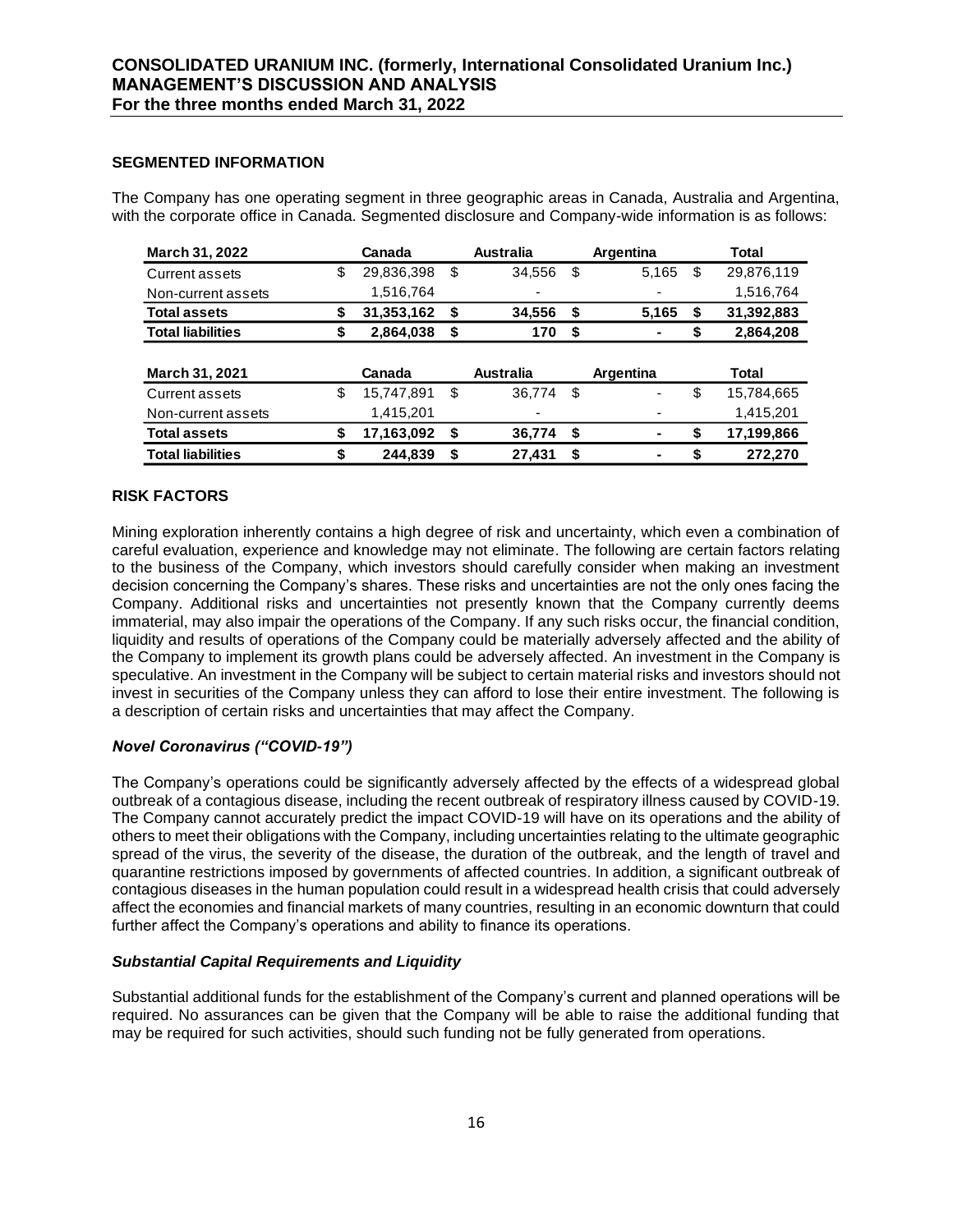### **SEGMENTED INFORMATION**

The Company has one operating segment in three geographic areas in Canada, Australia and Argentina, with the corporate office in Canada. Segmented disclosure and Company-wide information is as follows:

| March 31, 2022           | Canada           | <b>Australia</b> |      | Argentina | Total            |
|--------------------------|------------------|------------------|------|-----------|------------------|
| Current assets           | \$<br>29,836,398 | \$<br>34,556     | S    | 5,165     | \$<br>29,876,119 |
| Non-current assets       | 1,516,764        | ۰                |      |           | 1,516,764        |
| <b>Total assets</b>      | \$<br>31,353,162 | \$<br>34,556     | \$   | 5,165     | \$<br>31,392,883 |
| <b>Total liabilities</b> | \$<br>2,864,038  | \$<br>170        | \$   |           | \$<br>2,864,208  |
|                          |                  |                  |      |           |                  |
| <b>March 31, 2021</b>    | Canada           | <b>Australia</b> |      | Argentina | Total            |
| Current assets           | \$<br>15,747,891 | \$<br>36,774     | - \$ | ٠         | \$<br>15,784,665 |
| Non-current assets       | 1,415,201        |                  |      |           | 1,415,201        |
| <b>Total assets</b>      | \$<br>17,163,092 | \$<br>36,774     | - \$ |           | \$<br>17,199,866 |
| <b>Total liabilities</b> | \$<br>244.839    | \$<br>27.431     | \$   | ۰         | \$<br>272.270    |

### **RISK FACTORS**

Mining exploration inherently contains a high degree of risk and uncertainty, which even a combination of careful evaluation, experience and knowledge may not eliminate. The following are certain factors relating to the business of the Company, which investors should carefully consider when making an investment decision concerning the Company's shares. These risks and uncertainties are not the only ones facing the Company. Additional risks and uncertainties not presently known that the Company currently deems immaterial, may also impair the operations of the Company. If any such risks occur, the financial condition, liquidity and results of operations of the Company could be materially adversely affected and the ability of the Company to implement its growth plans could be adversely affected. An investment in the Company is speculative. An investment in the Company will be subject to certain material risks and investors should not invest in securities of the Company unless they can afford to lose their entire investment. The following is a description of certain risks and uncertainties that may affect the Company.

### *Novel Coronavirus ("COVID-19")*

The Company's operations could be significantly adversely affected by the effects of a widespread global outbreak of a contagious disease, including the recent outbreak of respiratory illness caused by COVID-19. The Company cannot accurately predict the impact COVID-19 will have on its operations and the ability of others to meet their obligations with the Company, including uncertainties relating to the ultimate geographic spread of the virus, the severity of the disease, the duration of the outbreak, and the length of travel and quarantine restrictions imposed by governments of affected countries. In addition, a significant outbreak of contagious diseases in the human population could result in a widespread health crisis that could adversely affect the economies and financial markets of many countries, resulting in an economic downturn that could further affect the Company's operations and ability to finance its operations.

### *Substantial Capital Requirements and Liquidity*

Substantial additional funds for the establishment of the Company's current and planned operations will be required. No assurances can be given that the Company will be able to raise the additional funding that may be required for such activities, should such funding not be fully generated from operations.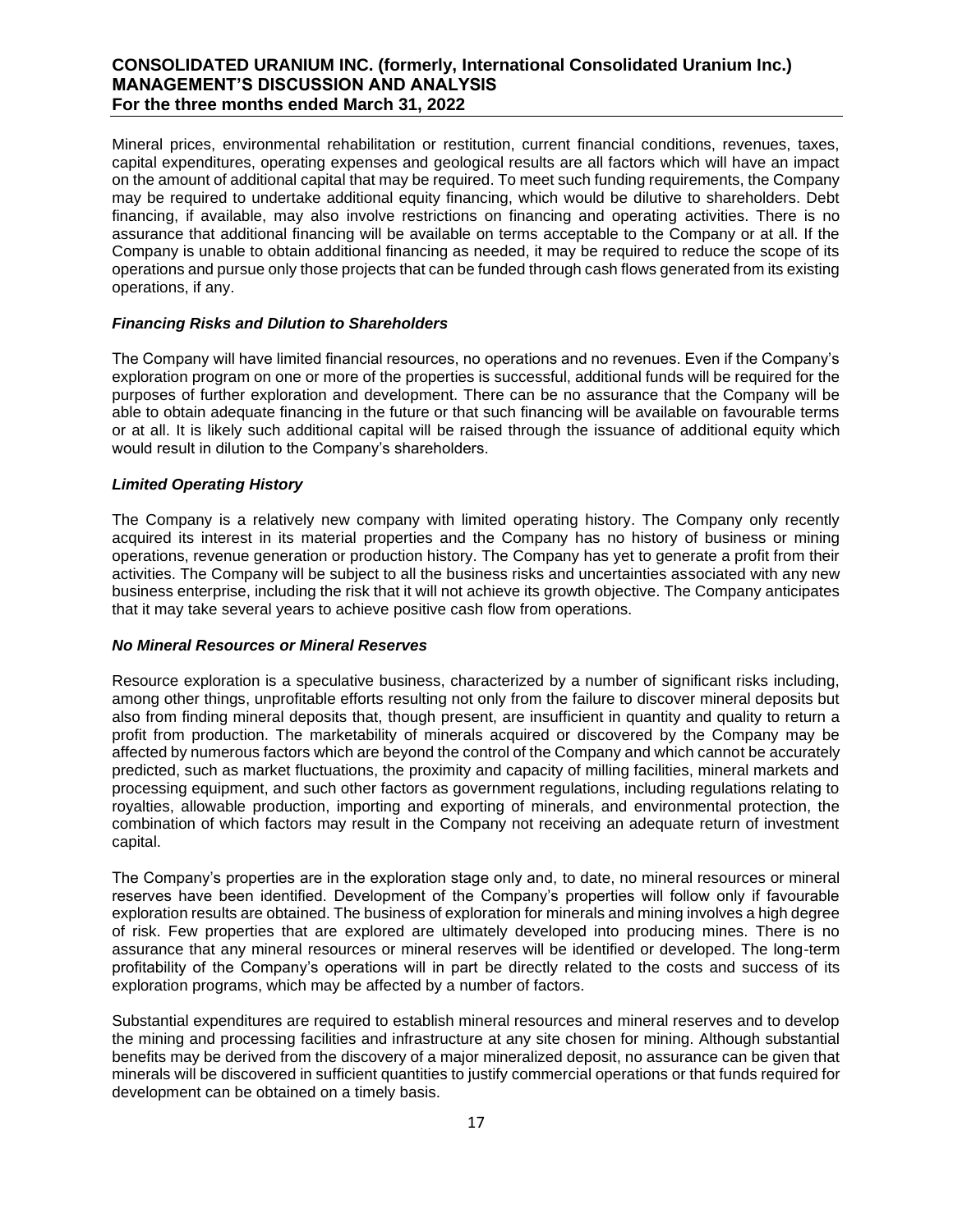Mineral prices, environmental rehabilitation or restitution, current financial conditions, revenues, taxes, capital expenditures, operating expenses and geological results are all factors which will have an impact on the amount of additional capital that may be required. To meet such funding requirements, the Company may be required to undertake additional equity financing, which would be dilutive to shareholders. Debt financing, if available, may also involve restrictions on financing and operating activities. There is no assurance that additional financing will be available on terms acceptable to the Company or at all. If the Company is unable to obtain additional financing as needed, it may be required to reduce the scope of its operations and pursue only those projects that can be funded through cash flows generated from its existing operations, if any.

### *Financing Risks and Dilution to Shareholders*

The Company will have limited financial resources, no operations and no revenues. Even if the Company's exploration program on one or more of the properties is successful, additional funds will be required for the purposes of further exploration and development. There can be no assurance that the Company will be able to obtain adequate financing in the future or that such financing will be available on favourable terms or at all. It is likely such additional capital will be raised through the issuance of additional equity which would result in dilution to the Company's shareholders.

### *Limited Operating History*

The Company is a relatively new company with limited operating history. The Company only recently acquired its interest in its material properties and the Company has no history of business or mining operations, revenue generation or production history. The Company has yet to generate a profit from their activities. The Company will be subject to all the business risks and uncertainties associated with any new business enterprise, including the risk that it will not achieve its growth objective. The Company anticipates that it may take several years to achieve positive cash flow from operations.

### *No Mineral Resources or Mineral Reserves*

Resource exploration is a speculative business, characterized by a number of significant risks including, among other things, unprofitable efforts resulting not only from the failure to discover mineral deposits but also from finding mineral deposits that, though present, are insufficient in quantity and quality to return a profit from production. The marketability of minerals acquired or discovered by the Company may be affected by numerous factors which are beyond the control of the Company and which cannot be accurately predicted, such as market fluctuations, the proximity and capacity of milling facilities, mineral markets and processing equipment, and such other factors as government regulations, including regulations relating to royalties, allowable production, importing and exporting of minerals, and environmental protection, the combination of which factors may result in the Company not receiving an adequate return of investment capital.

The Company's properties are in the exploration stage only and, to date, no mineral resources or mineral reserves have been identified. Development of the Company's properties will follow only if favourable exploration results are obtained. The business of exploration for minerals and mining involves a high degree of risk. Few properties that are explored are ultimately developed into producing mines. There is no assurance that any mineral resources or mineral reserves will be identified or developed. The long-term profitability of the Company's operations will in part be directly related to the costs and success of its exploration programs, which may be affected by a number of factors.

Substantial expenditures are required to establish mineral resources and mineral reserves and to develop the mining and processing facilities and infrastructure at any site chosen for mining. Although substantial benefits may be derived from the discovery of a major mineralized deposit, no assurance can be given that minerals will be discovered in sufficient quantities to justify commercial operations or that funds required for development can be obtained on a timely basis.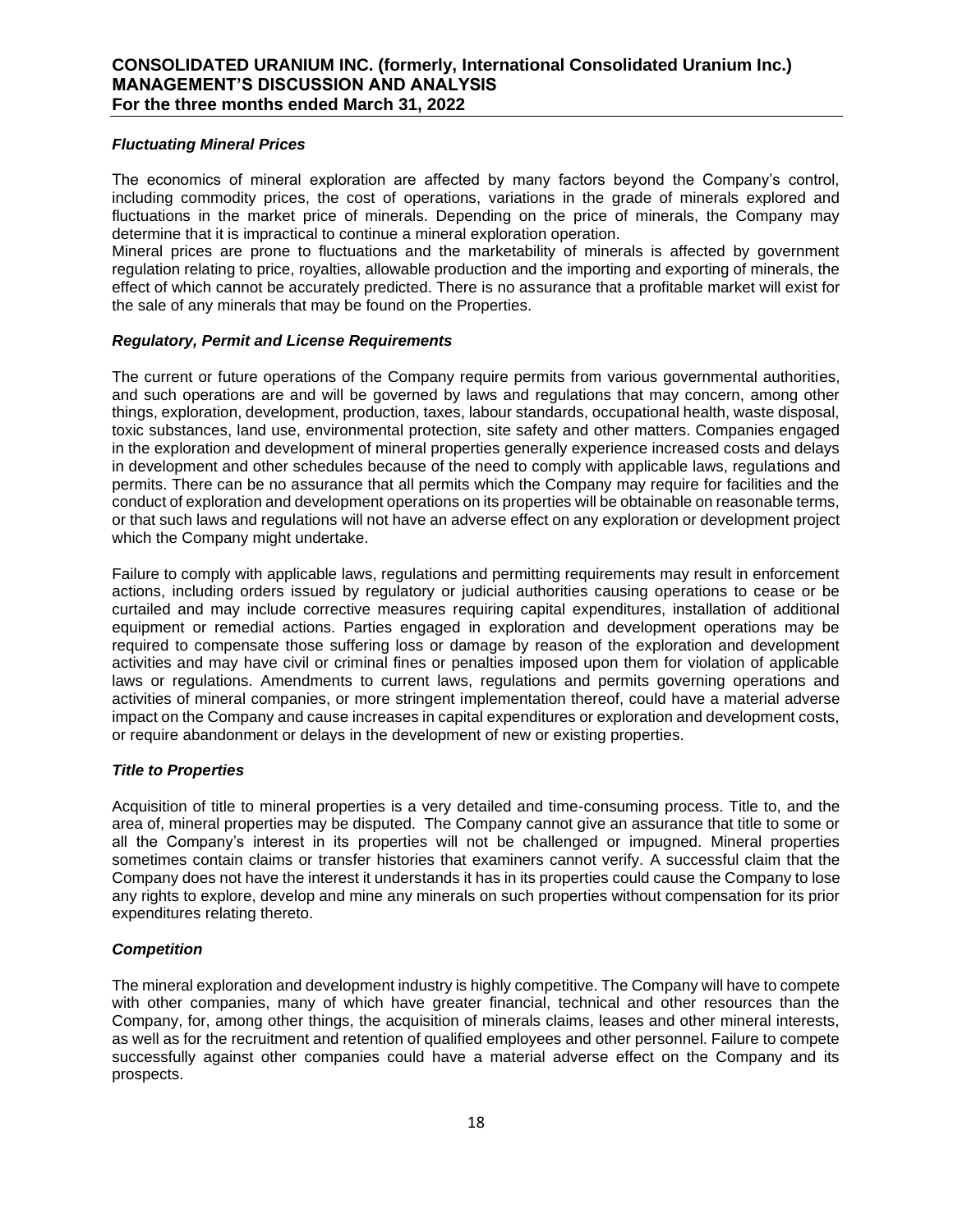### *Fluctuating Mineral Prices*

The economics of mineral exploration are affected by many factors beyond the Company's control, including commodity prices, the cost of operations, variations in the grade of minerals explored and fluctuations in the market price of minerals. Depending on the price of minerals, the Company may determine that it is impractical to continue a mineral exploration operation.

Mineral prices are prone to fluctuations and the marketability of minerals is affected by government regulation relating to price, royalties, allowable production and the importing and exporting of minerals, the effect of which cannot be accurately predicted. There is no assurance that a profitable market will exist for the sale of any minerals that may be found on the Properties.

### *Regulatory, Permit and License Requirements*

The current or future operations of the Company require permits from various governmental authorities, and such operations are and will be governed by laws and regulations that may concern, among other things, exploration, development, production, taxes, labour standards, occupational health, waste disposal, toxic substances, land use, environmental protection, site safety and other matters. Companies engaged in the exploration and development of mineral properties generally experience increased costs and delays in development and other schedules because of the need to comply with applicable laws, regulations and permits. There can be no assurance that all permits which the Company may require for facilities and the conduct of exploration and development operations on its properties will be obtainable on reasonable terms, or that such laws and regulations will not have an adverse effect on any exploration or development project which the Company might undertake.

Failure to comply with applicable laws, regulations and permitting requirements may result in enforcement actions, including orders issued by regulatory or judicial authorities causing operations to cease or be curtailed and may include corrective measures requiring capital expenditures, installation of additional equipment or remedial actions. Parties engaged in exploration and development operations may be required to compensate those suffering loss or damage by reason of the exploration and development activities and may have civil or criminal fines or penalties imposed upon them for violation of applicable laws or regulations. Amendments to current laws, regulations and permits governing operations and activities of mineral companies, or more stringent implementation thereof, could have a material adverse impact on the Company and cause increases in capital expenditures or exploration and development costs, or require abandonment or delays in the development of new or existing properties.

### *Title to Properties*

Acquisition of title to mineral properties is a very detailed and time-consuming process. Title to, and the area of, mineral properties may be disputed. The Company cannot give an assurance that title to some or all the Company's interest in its properties will not be challenged or impugned. Mineral properties sometimes contain claims or transfer histories that examiners cannot verify. A successful claim that the Company does not have the interest it understands it has in its properties could cause the Company to lose any rights to explore, develop and mine any minerals on such properties without compensation for its prior expenditures relating thereto.

### *Competition*

The mineral exploration and development industry is highly competitive. The Company will have to compete with other companies, many of which have greater financial, technical and other resources than the Company, for, among other things, the acquisition of minerals claims, leases and other mineral interests, as well as for the recruitment and retention of qualified employees and other personnel. Failure to compete successfully against other companies could have a material adverse effect on the Company and its prospects.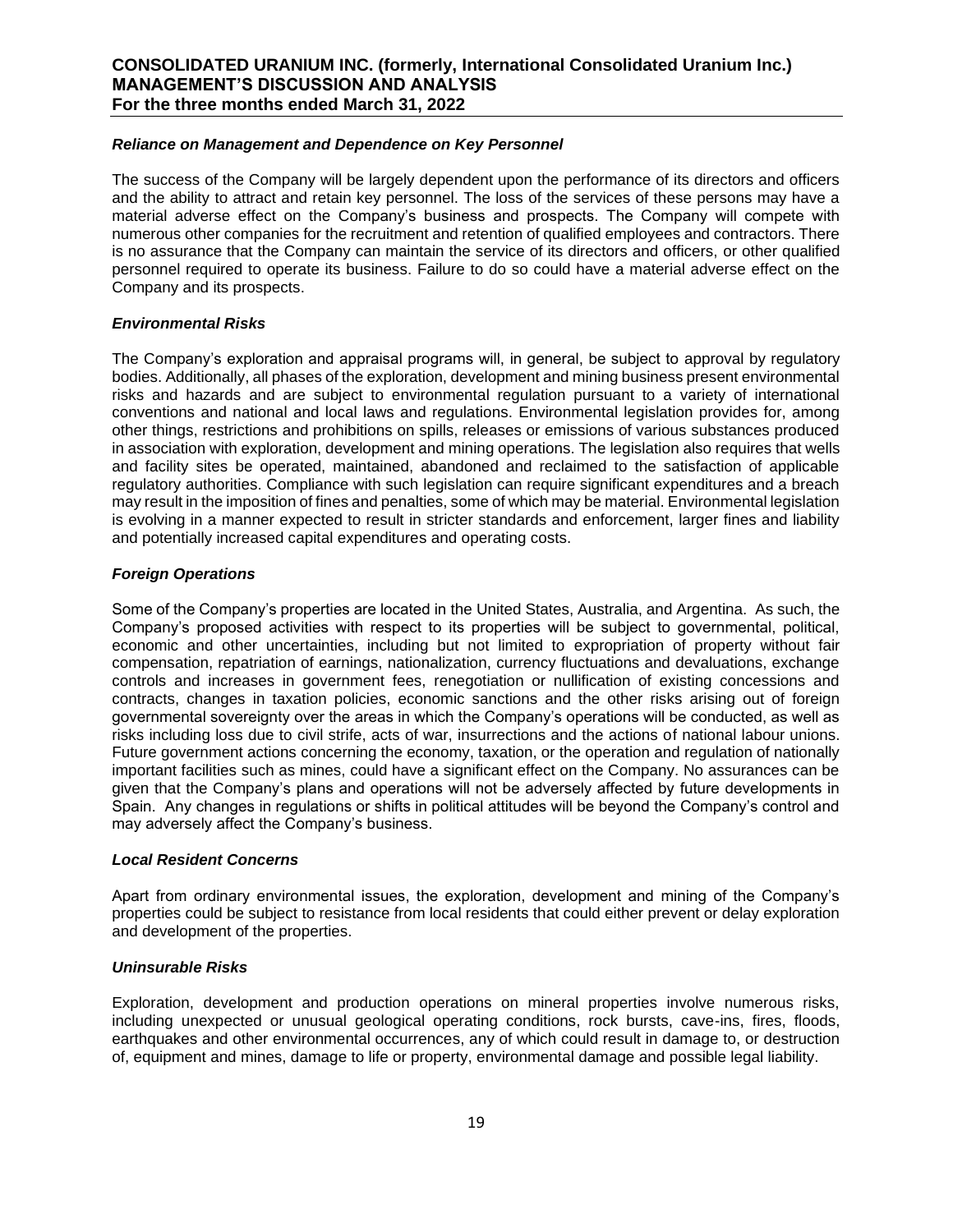### *Reliance on Management and Dependence on Key Personnel*

The success of the Company will be largely dependent upon the performance of its directors and officers and the ability to attract and retain key personnel. The loss of the services of these persons may have a material adverse effect on the Company's business and prospects. The Company will compete with numerous other companies for the recruitment and retention of qualified employees and contractors. There is no assurance that the Company can maintain the service of its directors and officers, or other qualified personnel required to operate its business. Failure to do so could have a material adverse effect on the Company and its prospects.

### *Environmental Risks*

The Company's exploration and appraisal programs will, in general, be subject to approval by regulatory bodies. Additionally, all phases of the exploration, development and mining business present environmental risks and hazards and are subject to environmental regulation pursuant to a variety of international conventions and national and local laws and regulations. Environmental legislation provides for, among other things, restrictions and prohibitions on spills, releases or emissions of various substances produced in association with exploration, development and mining operations. The legislation also requires that wells and facility sites be operated, maintained, abandoned and reclaimed to the satisfaction of applicable regulatory authorities. Compliance with such legislation can require significant expenditures and a breach may result in the imposition of fines and penalties, some of which may be material. Environmental legislation is evolving in a manner expected to result in stricter standards and enforcement, larger fines and liability and potentially increased capital expenditures and operating costs.

### *Foreign Operations*

Some of the Company's properties are located in the United States, Australia, and Argentina. As such, the Company's proposed activities with respect to its properties will be subject to governmental, political, economic and other uncertainties, including but not limited to expropriation of property without fair compensation, repatriation of earnings, nationalization, currency fluctuations and devaluations, exchange controls and increases in government fees, renegotiation or nullification of existing concessions and contracts, changes in taxation policies, economic sanctions and the other risks arising out of foreign governmental sovereignty over the areas in which the Company's operations will be conducted, as well as risks including loss due to civil strife, acts of war, insurrections and the actions of national labour unions. Future government actions concerning the economy, taxation, or the operation and regulation of nationally important facilities such as mines, could have a significant effect on the Company. No assurances can be given that the Company's plans and operations will not be adversely affected by future developments in Spain. Any changes in regulations or shifts in political attitudes will be beyond the Company's control and may adversely affect the Company's business.

### *Local Resident Concerns*

Apart from ordinary environmental issues, the exploration, development and mining of the Company's properties could be subject to resistance from local residents that could either prevent or delay exploration and development of the properties.

### *Uninsurable Risks*

Exploration, development and production operations on mineral properties involve numerous risks, including unexpected or unusual geological operating conditions, rock bursts, cave-ins, fires, floods, earthquakes and other environmental occurrences, any of which could result in damage to, or destruction of, equipment and mines, damage to life or property, environmental damage and possible legal liability.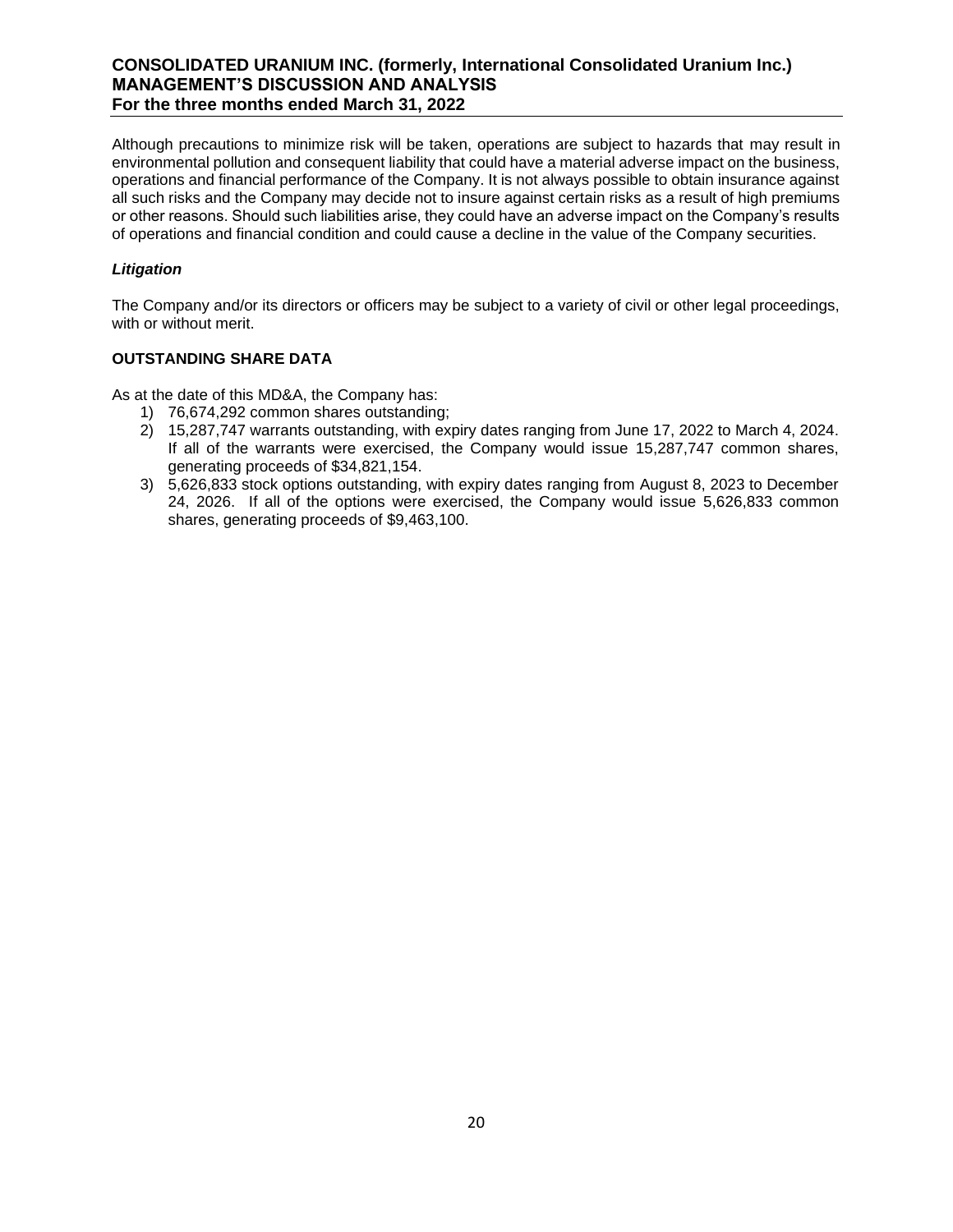Although precautions to minimize risk will be taken, operations are subject to hazards that may result in environmental pollution and consequent liability that could have a material adverse impact on the business, operations and financial performance of the Company. It is not always possible to obtain insurance against all such risks and the Company may decide not to insure against certain risks as a result of high premiums or other reasons. Should such liabilities arise, they could have an adverse impact on the Company's results of operations and financial condition and could cause a decline in the value of the Company securities.

### *Litigation*

The Company and/or its directors or officers may be subject to a variety of civil or other legal proceedings, with or without merit.

### **OUTSTANDING SHARE DATA**

As at the date of this MD&A, the Company has:

- 1) 76,674,292 common shares outstanding;
- 2) 15,287,747 warrants outstanding, with expiry dates ranging from June 17, 2022 to March 4, 2024. If all of the warrants were exercised, the Company would issue 15,287,747 common shares, generating proceeds of \$34,821,154.
- 3) 5,626,833 stock options outstanding, with expiry dates ranging from August 8, 2023 to December 24, 2026. If all of the options were exercised, the Company would issue 5,626,833 common shares, generating proceeds of \$9,463,100.